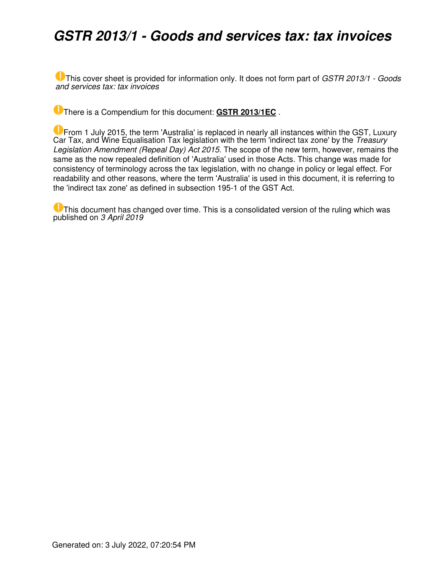## *GSTR 2013/1 - Goods and services tax: tax invoices*

This cover sheet is provided for information only. It does not form part of *GSTR 2013/1 - Goods and services tax: tax invoices*

There is a Compendium for this document: **[GSTR 2013/1EC](https://www.ato.gov.au/law/view/document?LocID=%22CGR%2FGSTR2013EC1%2FNAT%2FATO%2F00001%22&PiT=20200506000001)** .

**U** From 1 July 2015, the term 'Australia' is replaced in nearly all instances within the GST, Luxury Car Tax, and Wine Equalisation Tax legislation with the term 'indirect tax zone' by the *Treasury Legislation Amendment (Repeal Day) Act 2015*. The scope of the new term, however, remains the same as the now repealed definition of 'Australia' used in those Acts. This change was made for consistency of terminology across the tax legislation, with no change in policy or legal effect. For readability and other reasons, where the term 'Australia' is used in this document, it is referring to the 'indirect tax zone' as defined in subsection 195-1 of the GST Act.

**U** This document has changed over time. This is a consolidated version of the ruling which was published on *3 April 2019*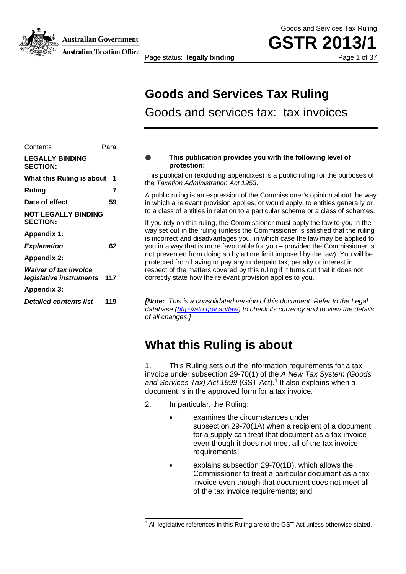**Australian Government** 

**Australian Taxation Office** 

Page status: **legally binding** Page 1 of 37

Goods and Services Tax Ruling

**GSTR 20** 

## **Goods and Services Tax Ruling**

Goods and services tax: tax invoices

| <b>LEGALLY BINDING</b><br><b>SECTION:</b>                   |     |
|-------------------------------------------------------------|-----|
| What this Ruling is about                                   | 1   |
| Ruling                                                      | 7   |
| Date of effect                                              | 59  |
| <b>NOT LEGALLY BINDING</b><br><b>SECTION:</b>               |     |
| <b>Appendix 1:</b>                                          |     |
| <b>Explanation</b>                                          | 62  |
| <b>Appendix 2:</b>                                          |     |
| <b>Waiver of tax invoice</b><br>legislative instruments 117 |     |
| Appendix 3:                                                 |     |
| <b>Detailed contents list</b>                               | 119 |
|                                                             |     |

Contents Para

#### O **This publication provides you with the following level of protection:**

This publication (excluding appendixes) is a public ruling for the purposes of the *Taxation Administration Act 1953*.

A public ruling is an expression of the Commissioner's opinion about the way in which a relevant provision applies, or would apply, to entities generally or to a class of entities in relation to a particular scheme or a class of schemes.

If you rely on this ruling, the Commissioner must apply the law to you in the way set out in the ruling (unless the Commissioner is satisfied that the ruling is incorrect and disadvantages you, in which case the law may be applied to you in a way that is more favourable for you – provided the Commissioner is not prevented from doing so by a time limit imposed by the law). You will be protected from having to pay any underpaid tax, penalty or interest in respect of the matters covered by this ruling if it turns out that it does not correctly state how the relevant provision applies to you.

*[Note: This is a consolidated version of this document. Refer to the Legal database (http://ato.gov.au/law) to check its currency and to view the details of all changes.]*

## **What this Ruling is about**

1. This Ruling sets out the information requirements for a tax invoice under subsection 29-70(1) of the *A New Tax System (Goods and Services Tax) Act 1999* (GST Act).<sup>1</sup> It also explains when a document is in the approved form for a tax invoice.

- 2. In particular, the Ruling:
	- examines the circumstances under subsection 29-70(1A) when a recipient of a document for a supply can treat that document as a tax invoice even though it does not meet all of the tax invoice requirements:
	- explains subsection 29-70(1B), which allows the Commissioner to treat a particular document as a tax invoice even though that document does not meet all of the tax invoice requirements; and

 $1$  All legislative references in this Ruling are to the GST Act unless otherwise stated.  $\overline{\phantom{a}}$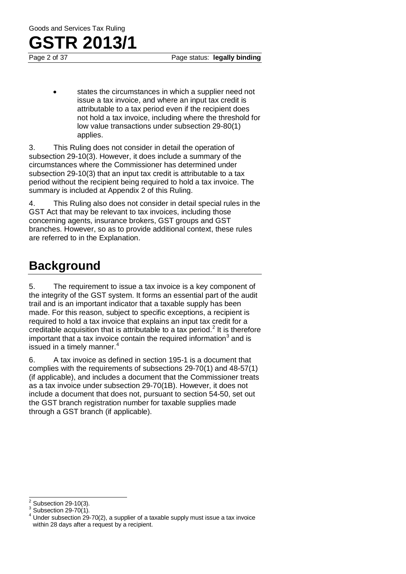states the circumstances in which a supplier need not issue a tax invoice, and where an input tax credit is attributable to a tax period even if the recipient does not hold a tax invoice, including where the threshold for low value transactions under subsection 29-80(1) applies.

3. This Ruling does not consider in detail the operation of subsection 29-10(3). However, it does include a summary of the circumstances where the Commissioner has determined under subsection 29-10(3) that an input tax credit is attributable to a tax period without the recipient being required to hold a tax invoice. The summary is included at Appendix 2 of this Ruling.

4. This Ruling also does not consider in detail special rules in the GST Act that may be relevant to tax invoices, including those concerning agents, insurance brokers, GST groups and GST branches. However, so as to provide additional context, these rules are referred to in the Explanation.

## **Background**

5. The requirement to issue a tax invoice is a key component of the integrity of the GST system. It forms an essential part of the audit trail and is an important indicator that a taxable supply has been made. For this reason, subject to specific exceptions, a recipient is required to hold a tax invoice that explains an input tax credit for a creditable acquisition that is attributable to a tax period.<sup>2</sup> It is therefore important that a tax invoice contain the required information $3$  and is issued in a timely manner.<sup>4</sup>

6. A tax invoice as defined in section 195-1 is a document that complies with the requirements of subsections 29-70(1) and 48-57(1) (if applicable), and includes a document that the Commissioner treats as a tax invoice under subsection 29-70(1B). However, it does not include a document that does not, pursuant to section 54-50, set out the GST branch registration number for taxable supplies made through a GST branch (if applicable).

 $2$  Subsection 29-10(3).

<sup>&</sup>lt;sup>3</sup> Subsection 29-70(1).<br> $\frac{3}{4}$  Under subsection 29-70(2), a supplier of a taxable supply must issue a tax invoice within 28 days after a request by a recipient.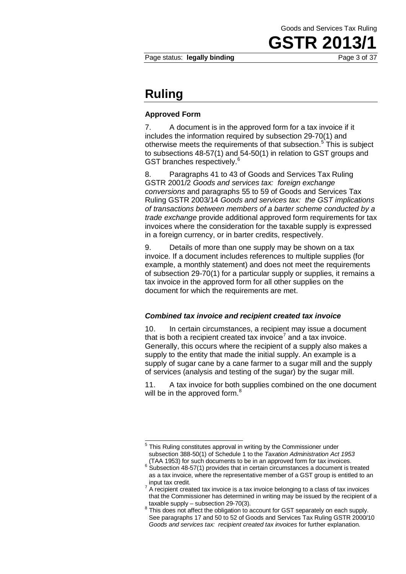Page status: **legally binding Page 3 of 37** 

Goods and Services Tax Ruling

**GSTR 201** 

### **Ruling**

#### **Approved Form**

7. A document is in the approved form for a tax invoice if it includes the information required by subsection 29-70(1) and otherwise meets the requirements of that subsection.<sup>5</sup> This is subject to subsections 48-57(1) and 54-50(1) in relation to GST groups and GST branches respectively.<sup>6</sup>

8. Paragraphs 41 to 43 of Goods and Services Tax Ruling GSTR 2001/2 *Goods and services tax: foreign exchange conversions* and paragraphs 55 to 59 of Goods and Services Tax Ruling GSTR 2003/14 *Goods and services tax: the GST implications of transactions between members of a barter scheme conducted by a trade exchange* provide additional approved form requirements for tax invoices where the consideration for the taxable supply is expressed in a foreign currency, or in barter credits, respectively.

9. Details of more than one supply may be shown on a tax invoice. If a document includes references to multiple supplies (for example, a monthly statement) and does not meet the requirements of subsection 29-70(1) for a particular supply or supplies, it remains a tax invoice in the approved form for all other supplies on the document for which the requirements are met.

#### *Combined tax invoice and recipient created tax invoice*

10. In certain circumstances, a recipient may issue a document that is both a recipient created tax invoice<sup>7</sup> and a tax invoice. Generally, this occurs where the recipient of a supply also makes a supply to the entity that made the initial supply. An example is a supply of sugar cane by a cane farmer to a sugar mill and the supply of services (analysis and testing of the sugar) by the sugar mill.

11. A tax invoice for both supplies combined on the one document will be in the approved form.<sup>8</sup>

<sup>&</sup>lt;sup>5</sup> This Ruling constitutes approval in writing by the Commissioner under subsection 388-50(1) of Schedule 1 to the *Taxation Administration Act 1953*  $\overline{a}$ 

 $\frac{6}{3}$  Subsection 48-57(1) provides that in certain circumstances a document is treated as a tax invoice, where the representative member of a GST group is entitled to an

<sup>&</sup>lt;sup>7</sup> A recipient created tax invoice is a tax invoice belonging to a class of tax invoices that the Commissioner has determined in writing may be issued by the recipient of a taxable supply – subsection 29-70(3).

<sup>&</sup>lt;sup>8</sup> This does not affect the obligation to account for GST separately on each supply. See paragraphs 17 and 50 to 52 of Goods and Services Tax Ruling GSTR 2000/10 *Goods and services tax: recipient created tax invoices* for further explanation.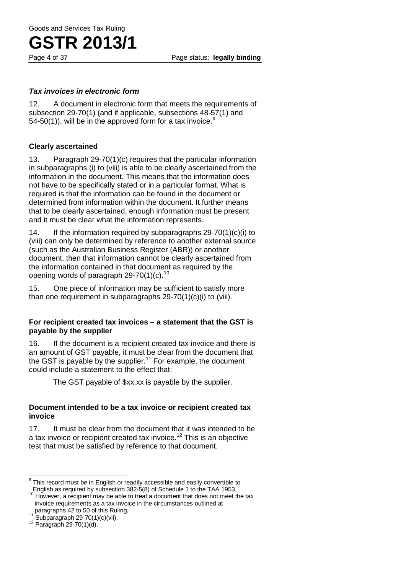Page 4 of 37 Page status: **legally binding**

#### *Tax invoices in electronic form*

12. A document in electronic form that meets the requirements of subsection 29-70(1) (and if applicable, subsections 48-57(1) and 54-50(1)), will be in the approved form for a tax invoice.<sup>9</sup>

#### **Clearly ascertained**

13. Paragraph 29-70(1)(c) requires that the particular information in subparagraphs (i) to (viii) is able to be clearly ascertained from the information in the document. This means that the information does not have to be specifically stated or in a particular format. What is required is that the information can be found in the document or determined from information within the document. It further means that to be clearly ascertained, enough information must be present and it must be clear what the information represents.

14. If the information required by subparagraphs 29-70(1)(c)(i) to (viii) can only be determined by reference to another external source (such as the Australian Business Register (ABR)) or another document, then that information cannot be clearly ascertained from the information contained in that document as required by the opening words of paragraph 29-70(1)(c).<sup>10</sup>

15. One piece of information may be sufficient to satisfy more than one requirement in subparagraphs 29-70(1)(c)(i) to (viii).

#### **For recipient created tax invoices – a statement that the GST is payable by the supplier**

16. If the document is a recipient created tax invoice and there is an amount of GST payable, it must be clear from the document that the GST is payable by the supplier.<sup>11</sup> For example, the document could include a statement to the effect that:

The GST payable of \$xx.xx is payable by the supplier.

#### **Document intended to be a tax invoice or recipient created tax invoice**

17. It must be clear from the document that it was intended to be a tax invoice or recipient created tax invoice.<sup>12</sup> This is an objective test that must be satisfied by reference to that document.

 $9$  This record must be in English or readily accessible and easily convertible to  $\overline{\phantom{a}}$ 

English as required by subsection 382-5(8) of Schedule 1 to the TAA 1953. <sup>10</sup> However, a recipient may be able to treat a document that does not meet the tax invoice requirements as a tax invoice in the circumstances outlined at

<sup>&</sup>lt;sup>11</sup> Subparagraph 29-70(1)(c)(vii). <sup>12</sup> Paragraph 29-70(1)(d).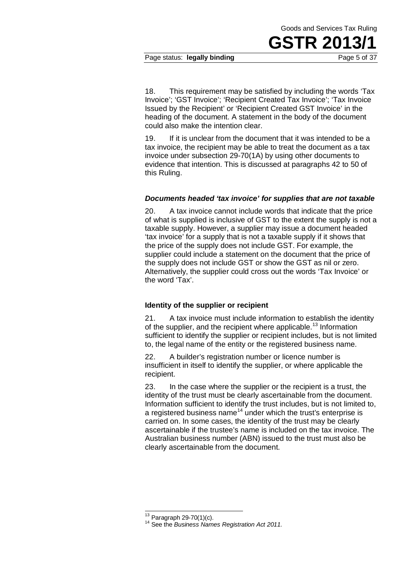## **GSTR 201**

Page status: **legally binding Page 5 of 37** 

18. This requirement may be satisfied by including the words 'Tax Invoice'; 'GST Invoice'; 'Recipient Created Tax Invoice'; 'Tax Invoice Issued by the Recipient' or 'Recipient Created GST Invoice' in the heading of the document. A statement in the body of the document could also make the intention clear.

19. If it is unclear from the document that it was intended to be a tax invoice, the recipient may be able to treat the document as a tax invoice under subsection 29-70(1A) by using other documents to evidence that intention. This is discussed at paragraphs 42 to 50 of this Ruling.

#### *Documents headed 'tax invoice' for supplies that are not taxable*

20. A tax invoice cannot include words that indicate that the price of what is supplied is inclusive of GST to the extent the supply is not a taxable supply. However, a supplier may issue a document headed 'tax invoice' for a supply that is not a taxable supply if it shows that the price of the supply does not include GST. For example, the supplier could include a statement on the document that the price of the supply does not include GST or show the GST as nil or zero. Alternatively, the supplier could cross out the words 'Tax Invoice' or the word 'Tax'.

#### **Identity of the supplier or recipient**

21. A tax invoice must include information to establish the identity of the supplier, and the recipient where applicable.<sup>13</sup> Information sufficient to identify the supplier or recipient includes, but is not limited to, the legal name of the entity or the registered business name.

22. A builder's registration number or licence number is insufficient in itself to identify the supplier, or where applicable the recipient.

23. In the case where the supplier or the recipient is a trust, the identity of the trust must be clearly ascertainable from the document. Information sufficient to identify the trust includes, but is not limited to, a registered business name<sup>14</sup> under which the trust's enterprise is carried on. In some cases, the identity of the trust may be clearly ascertainable if the trustee's name is included on the tax invoice. The Australian business number (ABN) issued to the trust must also be clearly ascertainable from the document.

 $13$  Paragraph 29-70(1)(c).

<sup>&</sup>lt;sup>14</sup> See the *Business Names Registration Act 2011.*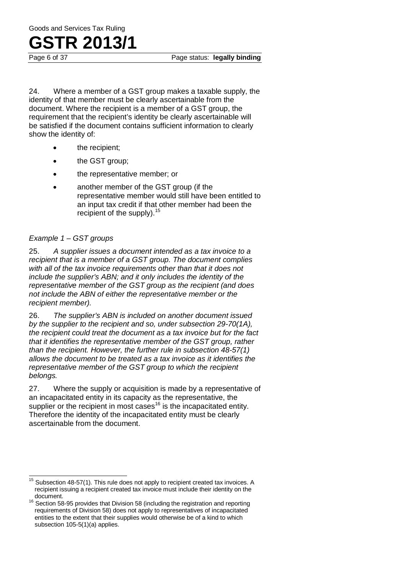24. Where a member of a GST group makes a taxable supply, the identity of that member must be clearly ascertainable from the document. Where the recipient is a member of a GST group, the requirement that the recipient's identity be clearly ascertainable will be satisfied if the document contains sufficient information to clearly show the identity of:

- the recipient;
- the GST group;
- the representative member; or
- another member of the GST group (if the representative member would still have been entitled to an input tax credit if that other member had been the recipient of the supply).<sup>15</sup>

#### *Example 1 – GST groups*

25. *A supplier issues a document intended as a tax invoice to a recipient that is a member of a GST group. The document complies with all of the tax invoice requirements other than that it does not include the supplier's ABN; and it only includes the identity of the representative member of the GST group as the recipient (and does not include the ABN of either the representative member or the recipient member).*

26. *The supplier's ABN is included on another document issued by the supplier to the recipient and so, under subsection 29-70(1A), the recipient could treat the document as a tax invoice but for the fact that it identifies the representative member of the GST group, rather than the recipient. However, the further rule in subsection 48-57(1) allows the document to be treated as a tax invoice as it identifies the representative member of the GST group to which the recipient belongs.*

27. Where the supply or acquisition is made by a representative of an incapacitated entity in its capacity as the representative, the supplier or the recipient in most cases<sup>16</sup> is the incapacitated entity. Therefore the identity of the incapacitated entity must be clearly ascertainable from the document.

 $15$  Subsection 48-57(1). This rule does not apply to recipient created tax invoices. A recipient issuing a recipient created tax invoice must include their identity on the  $\overline{\phantom{a}}$ 

 $16$  Section 58-95 provides that Division 58 (including the registration and reporting requirements of Division 58) does not apply to representatives of incapacitated entities to the extent that their supplies would otherwise be of a kind to which subsection 105-5(1)(a) applies.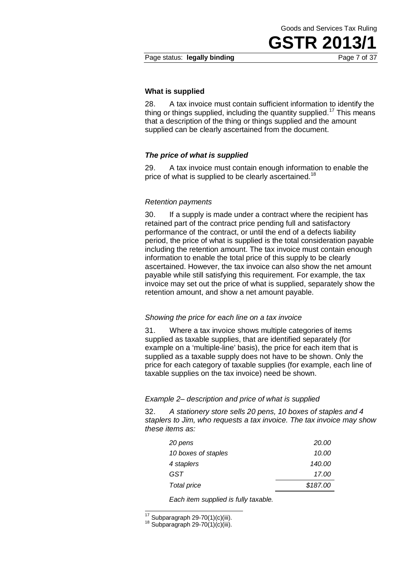**GSTR 201** 

#### Page status: **legally binding Page 7 of 37**

#### **What is supplied**

28. A tax invoice must contain sufficient information to identify the thing or things supplied, including the quantity supplied.<sup>17</sup> This means that a description of the thing or things supplied and the amount supplied can be clearly ascertained from the document.

#### *The price of what is supplied*

29. A tax invoice must contain enough information to enable the price of what is supplied to be clearly ascertained.<sup>18</sup>

#### *Retention payments*

30. If a supply is made under a contract where the recipient has retained part of the contract price pending full and satisfactory performance of the contract, or until the end of a defects liability period, the price of what is supplied is the total consideration payable including the retention amount. The tax invoice must contain enough information to enable the total price of this supply to be clearly ascertained. However, the tax invoice can also show the net amount payable while still satisfying this requirement. For example, the tax invoice may set out the price of what is supplied, separately show the retention amount, and show a net amount payable.

#### *Showing the price for each line on a tax invoice*

31. Where a tax invoice shows multiple categories of items supplied as taxable supplies, that are identified separately (for example on a 'multiple-line' basis), the price for each item that is supplied as a taxable supply does not have to be shown. Only the price for each category of taxable supplies (for example, each line of taxable supplies on the tax invoice) need be shown.

#### *Example 2– description and price of what is supplied*

32. *A stationery store sells 20 pens, 10 boxes of staples and 4 staplers to Jim, who requests a tax invoice. The tax invoice may show these items as:*

| 20 pens             | 20.00    |
|---------------------|----------|
| 10 boxes of staples | 10.00    |
| 4 staplers          | 140.00   |
| GST                 | 17.00    |
| Total price         | \$187.00 |
|                     |          |

*Each item supplied is fully taxable.*

 $17$  Subparagraph 29-70(1)(c)(iii).

 $18$  Subparagraph 29-70(1)(c)(iii).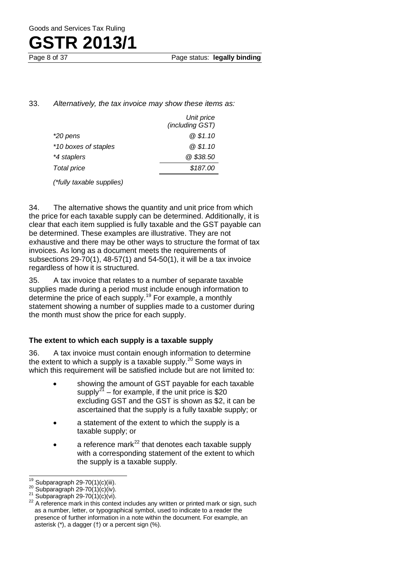Page 8 of 37 Page status: **legally binding**

#### 33. *Alternatively, the tax invoice may show these items as:*

| Unit price      |
|-----------------|
| (including GST) |
| @\$1.10         |
| @\$1.10         |
| @\$38.50        |
| \$187.00        |
|                 |

*(\*fully taxable supplies)*

34. The alternative shows the quantity and unit price from which the price for each taxable supply can be determined. Additionally, it is clear that each item supplied is fully taxable and the GST payable can be determined. These examples are illustrative. They are not exhaustive and there may be other ways to structure the format of tax invoices. As long as a document meets the requirements of subsections 29-70(1), 48-57(1) and 54-50(1), it will be a tax invoice regardless of how it is structured.

35. A tax invoice that relates to a number of separate taxable supplies made during a period must include enough information to determine the price of each supply.<sup>19</sup> For example, a monthly statement showing a number of supplies made to a customer during the month must show the price for each supply.

#### **The extent to which each supply is a taxable supply**

36. A tax invoice must contain enough information to determine the extent to which a supply is a taxable supply.<sup>20</sup> Some ways in which this requirement will be satisfied include but are not limited to:

- showing the amount of GST payable for each taxable supply<sup>21</sup> – for example, if the unit price is \$20 excluding GST and the GST is shown as \$2, it can be ascertained that the supply is a fully taxable supply; or
- a statement of the extent to which the supply is a taxable supply; or
- a reference mark $^{22}$  that denotes each taxable supply with a corresponding statement of the extent to which the supply is a taxable supply.

 $19$  Subparagraph 29-70(1)(c)(iii).

<sup>&</sup>lt;sup>20</sup> Subparagraph 29-70(1)(c)(iv).<br>
<sup>21</sup> Subparagraph 29-70(1)(c)(vi).<br>
<sup>22</sup> A reference mark in this context includes any written or printed mark or sign, such as a number, letter, or typographical symbol, used to indicate to a reader the presence of further information in a note within the document. For example, an asterisk (\*), a dagger (†) or a percent sign (%).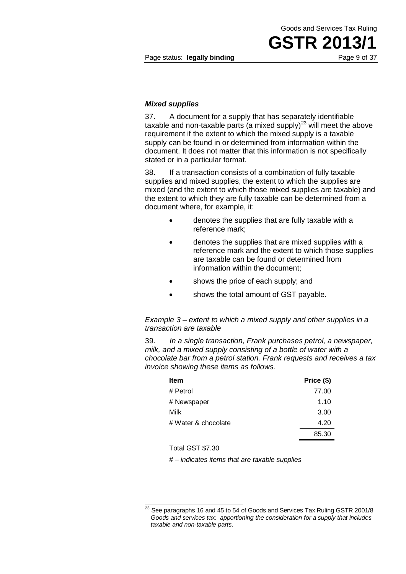**GSTR 201** 

Page status: **legally binding Page 9 of 37** 

#### *Mixed supplies*

37. A document for a supply that has separately identifiable taxable and non-taxable parts (a mixed supply)<sup>23</sup> will meet the above requirement if the extent to which the mixed supply is a taxable supply can be found in or determined from information within the document. It does not matter that this information is not specifically stated or in a particular format.

38. If a transaction consists of a combination of fully taxable supplies and mixed supplies, the extent to which the supplies are mixed (and the extent to which those mixed supplies are taxable) and the extent to which they are fully taxable can be determined from a document where, for example, it:

- denotes the supplies that are fully taxable with a reference mark;
- denotes the supplies that are mixed supplies with a reference mark and the extent to which those supplies are taxable can be found or determined from information within the document;
- shows the price of each supply; and
- shows the total amount of GST payable.

*Example 3 – extent to which a mixed supply and other supplies in a transaction are taxable*

39. *In a single transaction, Frank purchases petrol, a newspaper, milk, and a mixed supply consisting of a bottle of water with a chocolate bar from a petrol station. Frank requests and receives a tax invoice showing these items as follows.*

| <b>Item</b>         | Price (\$) |
|---------------------|------------|
| # Petrol            | 77.00      |
| # Newspaper         | 1.10       |
| Milk                | 3.00       |
| # Water & chocolate | 4.20       |
|                     | 85.30      |

Total GST \$7.30

*# – indicates items that are taxable supplies*

 $^{23}$  See paragraphs 16 and 45 to 54 of Goods and Services Tax Ruling GSTR 2001/8 *Goods and services tax: apportioning the consideration for a supply that includes taxable and non-taxable parts*.  $\overline{a}$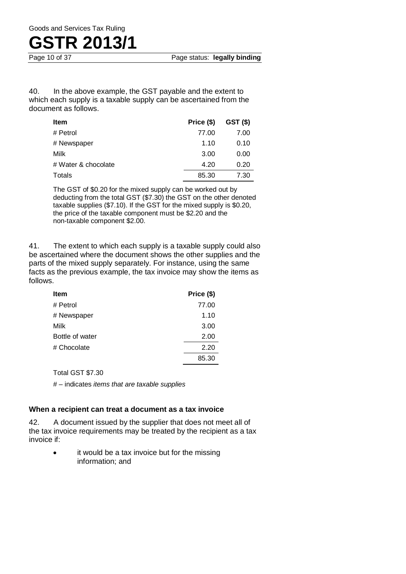

40. In the above example, the GST payable and the extent to which each supply is a taxable supply can be ascertained from the document as follows.

| <b>Item</b>         | Price (\$) | GST(S) |
|---------------------|------------|--------|
| # Petrol            | 77.00      | 7.00   |
| # Newspaper         | 1.10       | 0.10   |
| Milk                | 3.00       | 0.00   |
| # Water & chocolate | 4.20       | 0.20   |
| Totals              | 85.30      | 7.30   |

The GST of \$0.20 for the mixed supply can be worked out by deducting from the total GST (\$7.30) the GST on the other denoted taxable supplies (\$7.10). If the GST for the mixed supply is \$0.20, the price of the taxable component must be \$2.20 and the non-taxable component \$2.00.

41. The extent to which each supply is a taxable supply could also be ascertained where the document shows the other supplies and the parts of the mixed supply separately. For instance, using the same facts as the previous example, the tax invoice may show the items as follows.

| Item            | Price (\$) |
|-----------------|------------|
| # Petrol        | 77.00      |
| # Newspaper     | 1.10       |
| Milk            | 3.00       |
| Bottle of water | 2.00       |
| # Chocolate     | 2.20       |
|                 | 85.30      |
|                 |            |

Total GST \$7.30

*# –* indicates *items that are taxable supplies*

#### **When a recipient can treat a document as a tax invoice**

42. A document issued by the supplier that does not meet all of the tax invoice requirements may be treated by the recipient as a tax invoice if:

> it would be a tax invoice but for the missing information; and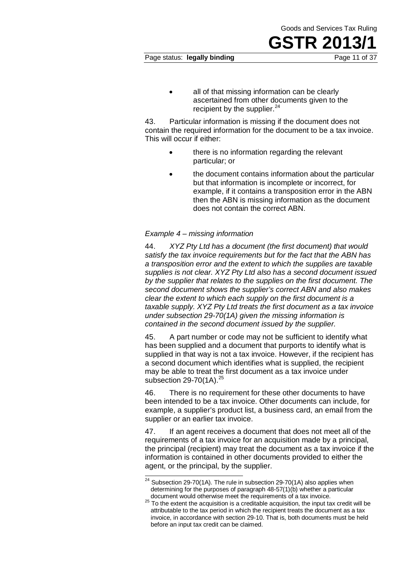all of that missing information can be clearly ascertained from other documents given to the recipient by the supplier. $24$ 

43. Particular information is missing if the document does not contain the required information for the document to be a tax invoice. This will occur if either:

- there is no information regarding the relevant particular; or
- the document contains information about the particular but that information is incomplete or incorrect, for example, if it contains a transposition error in the ABN then the ABN is missing information as the document does not contain the correct ABN.

#### *Example 4 – missing information*

44. *XYZ Pty Ltd has a document (the first document) that would satisfy the tax invoice requirements but for the fact that the ABN has a transposition error and the extent to which the supplies are taxable supplies is not clear. XYZ Pty Ltd also has a second document issued by the supplier that relates to the supplies on the first document. The second document shows the supplier's correct ABN and also makes clear the extent to which each supply on the first document is a taxable supply. XYZ Pty Ltd treats the first document as a tax invoice under subsection 29-70(1A) given the missing information is contained in the second document issued by the supplier.*

45. A part number or code may not be sufficient to identify what has been supplied and a document that purports to identify what is supplied in that way is not a tax invoice. However, if the recipient has a second document which identifies what is supplied, the recipient may be able to treat the first document as a tax invoice under subsection  $29-70(1A).^{25}$ 

46. There is no requirement for these other documents to have been intended to be a tax invoice. Other documents can include, for example, a supplier's product list, a business card, an email from the supplier or an earlier tax invoice.

47. If an agent receives a document that does not meet all of the requirements of a tax invoice for an acquisition made by a principal, the principal (recipient) may treat the document as a tax invoice if the information is contained in other documents provided to either the agent, or the principal, by the supplier.

Goods and Services Tax Ruling

**GSTR 201** 

 $24$  Subsection 29-70(1A). The rule in subsection 29-70(1A) also applies when determining for the purposes of paragraph 48-57(1)(b) whether a particular document would otherwise meet the requirements of a tax invoice.  $\overline{a}$ 

<sup>25</sup> To the extent the acquisition is a creditable acquisition, the input tax credit will be attributable to the tax period in which the recipient treats the document as a tax invoice, in accordance with section 29-10. That is, both documents must be held before an input tax credit can be claimed.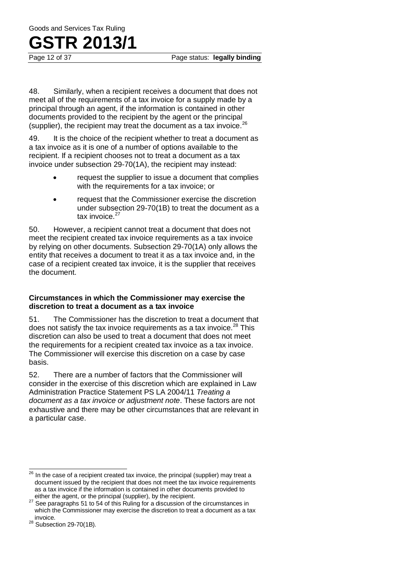48. Similarly, when a recipient receives a document that does not meet all of the requirements of a tax invoice for a supply made by a principal through an agent, if the information is contained in other documents provided to the recipient by the agent or the principal (supplier), the recipient may treat the document as a tax invoice.<sup>26</sup>

49. It is the choice of the recipient whether to treat a document as a tax invoice as it is one of a number of options available to the recipient. If a recipient chooses not to treat a document as a tax invoice under subsection 29-70(1A), the recipient may instead:

- request the supplier to issue a document that complies with the requirements for a tax invoice; or
- request that the Commissioner exercise the discretion under subsection 29-70(1B) to treat the document as a tax invoice. $27$

50. However, a recipient cannot treat a document that does not meet the recipient created tax invoice requirements as a tax invoice by relying on other documents. Subsection 29-70(1A) only allows the entity that receives a document to treat it as a tax invoice and, in the case of a recipient created tax invoice, it is the supplier that receives the document.

#### **Circumstances in which the Commissioner may exercise the discretion to treat a document as a tax invoice**

51. The Commissioner has the discretion to treat a document that does not satisfy the tax invoice requirements as a tax invoice. $28$  This discretion can also be used to treat a document that does not meet the requirements for a recipient created tax invoice as a tax invoice. The Commissioner will exercise this discretion on a case by case basis.

52. There are a number of factors that the Commissioner will consider in the exercise of this discretion which are explained in Law Administration Practice Statement PS LA 2004/11 *Treating a document as a tax invoice or adjustment note*. These factors are not exhaustive and there may be other circumstances that are relevant in a particular case.

 $^{26}$  In the case of a recipient created tax invoice, the principal (supplier) may treat a document issued by the recipient that does not meet the tax invoice requirements as a tax invoice if the information is contained in other documents provided to either the agent, or the principal (supplier), by the recipient.  $\overline{\phantom{a}}$ 

<sup>&</sup>lt;sup>27</sup> See paragraphs 51 to 54 of this Ruling for a discussion of the circumstances in which the Commissioner may exercise the discretion to treat a document as a tax invoice.

<sup>&</sup>lt;sup>28</sup> Subsection 29-70(1B).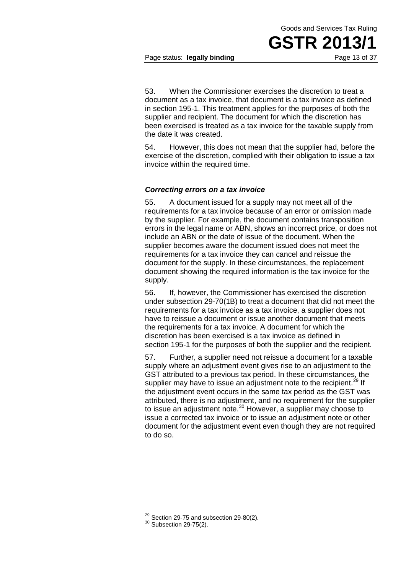**GSTR 201** 

#### Page status: **legally binding** Page 13 of 37

53. When the Commissioner exercises the discretion to treat a document as a tax invoice, that document is a tax invoice as defined in section 195-1. This treatment applies for the purposes of both the supplier and recipient. The document for which the discretion has been exercised is treated as a tax invoice for the taxable supply from the date it was created.

54. However, this does not mean that the supplier had, before the exercise of the discretion, complied with their obligation to issue a tax invoice within the required time.

#### *Correcting errors on a tax invoice*

55. A document issued for a supply may not meet all of the requirements for a tax invoice because of an error or omission made by the supplier. For example, the document contains transposition errors in the legal name or ABN, shows an incorrect price, or does not include an ABN or the date of issue of the document. When the supplier becomes aware the document issued does not meet the requirements for a tax invoice they can cancel and reissue the document for the supply. In these circumstances, the replacement document showing the required information is the tax invoice for the supply.

56. If, however, the Commissioner has exercised the discretion under subsection 29-70(1B) to treat a document that did not meet the requirements for a tax invoice as a tax invoice, a supplier does not have to reissue a document or issue another document that meets the requirements for a tax invoice. A document for which the discretion has been exercised is a tax invoice as defined in section 195-1 for the purposes of both the supplier and the recipient.

57. Further, a supplier need not reissue a document for a taxable supply where an adjustment event gives rise to an adjustment to the GST attributed to a previous tax period. In these circumstances, the supplier may have to issue an adjustment note to the recipient.<sup>29</sup> If the adjustment event occurs in the same tax period as the GST was attributed, there is no adjustment, and no requirement for the supplier to issue an adjustment note.<sup>30</sup> However, a supplier may choose to issue a corrected tax invoice or to issue an adjustment note or other document for the adjustment event even though they are not required to do so.

 $^{29}$  Section 29-75 and subsection 29-80(2).<br> $^{30}$  Subsection 29-75(2).  $\overline{a}$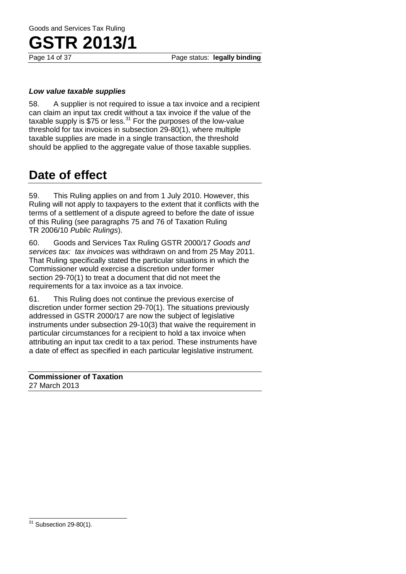Page 14 of 37 Page status: **legally binding**

#### *Low value taxable supplies*

58. A supplier is not required to issue a tax invoice and a recipient can claim an input tax credit without a tax invoice if the value of the taxable supply is \$75 or less. $31$  For the purposes of the low-value threshold for tax invoices in subsection 29-80(1), where multiple taxable supplies are made in a single transaction, the threshold should be applied to the aggregate value of those taxable supplies.

## **Date of effect**

59. This Ruling applies on and from 1 July 2010. However, this Ruling will not apply to taxpayers to the extent that it conflicts with the terms of a settlement of a dispute agreed to before the date of issue of this Ruling (see paragraphs 75 and 76 of Taxation Ruling TR 2006/10 *Public Rulings*).

60. Goods and Services Tax Ruling GSTR 2000/17 *Goods and services tax: tax invoices* was withdrawn on and from 25 May 2011. That Ruling specifically stated the particular situations in which the Commissioner would exercise a discretion under former section 29-70(1) to treat a document that did not meet the requirements for a tax invoice as a tax invoice.

61. This Ruling does not continue the previous exercise of discretion under former section 29-70(1). The situations previously addressed in GSTR 2000/17 are now the subject of legislative instruments under subsection 29-10(3) that waive the requirement in particular circumstances for a recipient to hold a tax invoice when attributing an input tax credit to a tax period. These instruments have a date of effect as specified in each particular legislative instrument.

#### **Commissioner of Taxation** 27 March 2013

 $31$  Subsection 29-80(1).  $\overline{\phantom{a}}$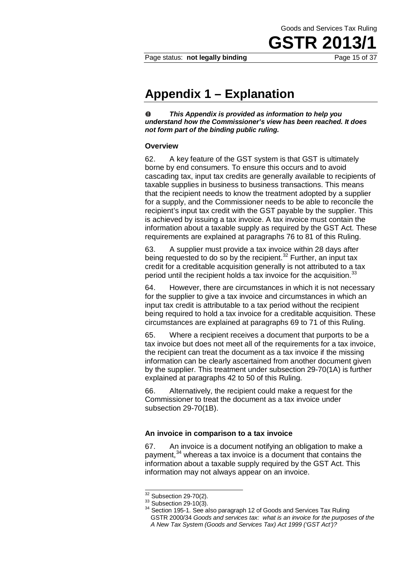**GSTR 2013/1**

### **Appendix 1 – Explanation**

 $\bullet$ *This Appendix is provided as information to help you understand how the Commissioner's view has been reached. It does not form part of the binding public ruling.*

#### **Overview**

62. A key feature of the GST system is that GST is ultimately borne by end consumers. To ensure this occurs and to avoid cascading tax, input tax credits are generally available to recipients of taxable supplies in business to business transactions. This means that the recipient needs to know the treatment adopted by a supplier for a supply, and the Commissioner needs to be able to reconcile the recipient's input tax credit with the GST payable by the supplier. This is achieved by issuing a tax invoice. A tax invoice must contain the information about a taxable supply as required by the GST Act. These requirements are explained at paragraphs 76 to 81 of this Ruling.

63. A supplier must provide a tax invoice within 28 days after being requested to do so by the recipient.<sup>32</sup> Further, an input tax credit for a creditable acquisition generally is not attributed to a tax period until the recipient holds a tax invoice for the acquisition.<sup>33</sup>

64. However, there are circumstances in which it is not necessary for the supplier to give a tax invoice and circumstances in which an input tax credit is attributable to a tax period without the recipient being required to hold a tax invoice for a creditable acquisition. These circumstances are explained at paragraphs 69 to 71 of this Ruling.

65. Where a recipient receives a document that purports to be a tax invoice but does not meet all of the requirements for a tax invoice, the recipient can treat the document as a tax invoice if the missing information can be clearly ascertained from another document given by the supplier. This treatment under subsection 29-70(1A) is further explained at paragraphs 42 to 50 of this Ruling.

66. Alternatively, the recipient could make a request for the Commissioner to treat the document as a tax invoice under subsection 29-70(1B).

#### **An invoice in comparison to a tax invoice**

67. An invoice is a document notifying an obligation to make a payment,<sup>34</sup> whereas a tax invoice is a document that contains the information about a taxable supply required by the GST Act. This information may not always appear on an invoice.

 $\overline{32}$  Subsection 29-70(2).

<sup>33</sup> Subsection 29-10(3).<br><sup>34</sup> Section 195-1. See also paragraph 12 of Goods and Services Tax Ruling GSTR 2000/34 *Goods and services tax: what is an invoice for the purposes of the A New Tax System (Goods and Services Tax) Act 1999 ('GST Act')?*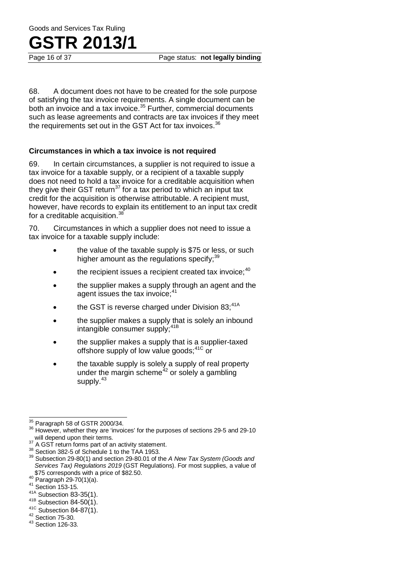68. A document does not have to be created for the sole purpose of satisfying the tax invoice requirements. A single document can be both an invoice and a tax invoice.<sup>35</sup> Further, commercial documents such as lease agreements and contracts are tax invoices if they meet the requirements set out in the GST Act for tax invoices. $36$ 

#### **Circumstances in which a tax invoice is not required**

69. In certain circumstances, a supplier is not required to issue a tax invoice for a taxable supply, or a recipient of a taxable supply does not need to hold a tax invoice for a creditable acquisition when they give their GST return<sup>37</sup> for a tax period to which an input tax credit for the acquisition is otherwise attributable. A recipient must, however, have records to explain its entitlement to an input tax credit for a creditable acquisition.<sup>38</sup>

70. Circumstances in which a supplier does not need to issue a tax invoice for a taxable supply include:

- the value of the taxable supply is \$75 or less, or such higher amount as the regulations specify;  $39$
- the recipient issues a recipient created tax invoice: $40$
- the supplier makes a supply through an agent and the agent issues the tax invoice:<sup>41</sup>
- the GST is reverse charged under Division  $83:41A$
- the supplier makes a supply that is solely an inbound intangible consumer supply;<sup>41B</sup>
- the supplier makes a supply that is a supplier-taxed offshore supply of low value goods;<sup>41C</sup> or
- the taxable supply is solely a supply of real property under the margin scheme<sup>42</sup> or solely a gambling supply.<sup>43</sup>

<sup>41C</sup> Subsection 84-87(1).<br><sup>42</sup> Section 75-30.<br><sup>43</sup> Section 126-33.

<sup>&</sup>lt;sup>35</sup> Paragraph 58 of GSTR 2000/34.

<sup>&</sup>lt;sup>36</sup> However, whether they are 'invoices' for the purposes of sections 29-5 and 29-10 will depend upon their terms.

will depend upon their terms. <sup>37</sup> A GST return forms part of an activity statement. <sup>38</sup> Section 382-5 of Schedule 1 to the TAA 1953. <sup>39</sup> Subsection 29-80(1) and section 29-80.01 of the *A New Tax System (Goods and Services Tax) Regulations 2019* (GST Regulations). For most supplies, a value of

<sup>&</sup>lt;sup>40</sup> Paragraph 29-70(1)(a).<br><sup>41</sup> Section 153-15.<br><sup>41A</sup> Subsection 83-35(1).

 $41B$  Subsection 84-50(1).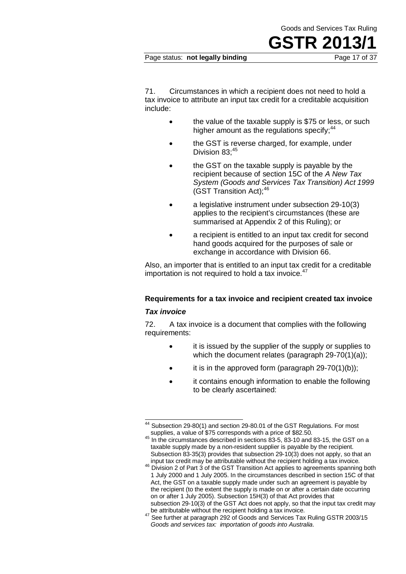**GSTR 201** 

#### Page status: **not legally binding** Page 17 of 37

71. Circumstances in which a recipient does not need to hold a tax invoice to attribute an input tax credit for a creditable acquisition include:

- the value of the taxable supply is \$75 or less, or such higher amount as the regulations specify: $44$
- the GST is reverse charged, for example, under Division 83:45
- the GST on the taxable supply is payable by the recipient because of section 15C of the *A New Tax System (Goods and Services Tax Transition) Act 1999*  $(GST$  Transition Act):  $46$
- a legislative instrument under subsection 29-10(3) applies to the recipient's circumstances (these are summarised at Appendix 2 of this Ruling); or
- a recipient is entitled to an input tax credit for second hand goods acquired for the purposes of sale or exchange in accordance with Division 66.

Also, an importer that is entitled to an input tax credit for a creditable importation is not required to hold a tax invoice. $47$ 

### **Requirements for a tax invoice and recipient created tax invoice**

#### *Tax invoice*

72. A tax invoice is a document that complies with the following requirements:

- it is issued by the supplier of the supply or supplies to which the document relates (paragraph 29-70(1)(a));
- it is in the approved form (paragraph  $29-70(1)(b)$ );
- it contains enough information to enable the following to be clearly ascertained:

 $44$  Subsection 29-80(1) and section 29-80.01 of the GST Regulations. For most  $\overline{\phantom{a}}$ 

supplies, a value of \$75 corresponds with a price of \$82.50.<br><sup>45</sup> In the circumstances described in sections 83-5, 83-10 and 83-15, the GST on a taxable supply made by a non-resident supplier is payable by the recipient. Subsection 83-35(3) provides that subsection 29-10(3) does not apply, so that an input tax credit may be attributable without the recipient holding a tax invoice.

<sup>&</sup>lt;sup>46</sup> Division 2 of Part 3 of the GST Transition Act applies to agreements spanning both 1 July 2000 and 1 July 2005. In the circumstances described in section 15C of that Act, the GST on a taxable supply made under such an agreement is payable by the recipient (to the extent the supply is made on or after a certain date occurring on or after 1 July 2005). Subsection 15H(3) of that Act provides that subsection 29-10(3) of the GST Act does not apply, so that the input tax credit may<br>be attributable without the recipient holding a tax invoice.

<sup>47</sup> See further at paragraph 292 of Goods and Services Tax Ruling GSTR 2003/15 *Goods and services tax: importation of goods into Australia*.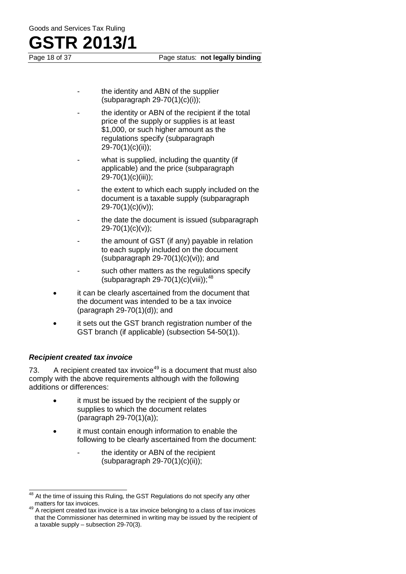Page 18 of 37 Page status: **not legally binding**

- the identity and ABN of the supplier (subparagraph 29-70(1)(c)(i));
- the identity or ABN of the recipient if the total price of the supply or supplies is at least \$1,000, or such higher amount as the regulations specify (subparagraph 29-70(1)(c)(ii));
- what is supplied, including the quantity (if applicable) and the price (subparagraph 29-70(1)(c)(iii));
- the extent to which each supply included on the document is a taxable supply (subparagraph 29-70(1)(c)(iv));
- the date the document is issued (subparagraph 29-70(1)(c)(v));
- the amount of GST (if any) payable in relation to each supply included on the document (subparagraph  $29-70(1)(c)(vi)$ ); and
- such other matters as the regulations specify (subparagraph 29-70(1)(c)(viii));  $48$
- it can be clearly ascertained from the document that the document was intended to be a tax invoice (paragraph  $29-70(1)(d)$ ); and
- it sets out the GST branch registration number of the GST branch (if applicable) (subsection 54-50(1)).

#### *Recipient created tax invoice*

73. A recipient created tax invoice<sup>49</sup> is a document that must also comply with the above requirements although with the following additions or differences:

- it must be issued by the recipient of the supply or supplies to which the document relates (paragraph 29-70(1)(a));
- it must contain enough information to enable the following to be clearly ascertained from the document:
	- the identity or ABN of the recipient  $(subparac graph 29-70(1)(c)(ii))$ ;

At the time of issuing this Ruling, the GST Regulations do not specify any other matters for tax invoices. 48

<sup>49</sup> A recipient created tax invoice is a tax invoice belonging to a class of tax invoices that the Commissioner has determined in writing may be issued by the recipient of a taxable supply – subsection 29-70(3).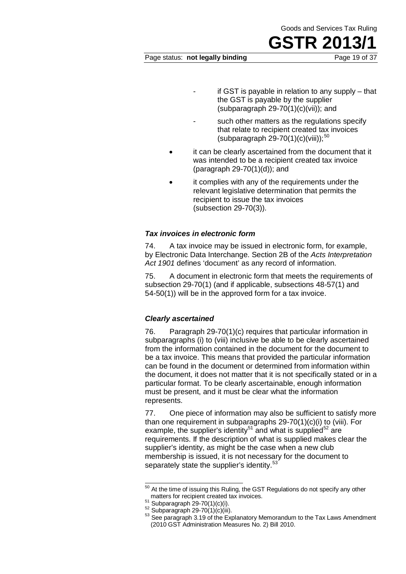### **GSTR 201** Page status: **not legally binding** Page 19 of 37

- if GST is payable in relation to any supply  $-$  that the GST is payable by the supplier (subparagraph  $29-70(1)(c)(vi))$ ; and
- such other matters as the regulations specify that relate to recipient created tax invoices (subparagraph  $29-70(1)(c)(viii)$ ;<sup>50</sup>
- it can be clearly ascertained from the document that it was intended to be a recipient created tax invoice (paragraph 29-70(1)(d)); and
- it complies with any of the requirements under the relevant legislative determination that permits the recipient to issue the tax invoices (subsection 29-70(3)).

#### *Tax invoices in electronic form*

74. A tax invoice may be issued in electronic form, for example, by Electronic Data Interchange. Section 2B of the *Acts Interpretation Act 1901* defines 'document' as any record of information.

75. A document in electronic form that meets the requirements of subsection 29-70(1) (and if applicable, subsections 48-57(1) and 54-50(1)) will be in the approved form for a tax invoice.

#### *Clearly ascertained*

76. Paragraph 29-70(1)(c) requires that particular information in subparagraphs (i) to (viii) inclusive be able to be clearly ascertained from the information contained in the document for the document to be a tax invoice. This means that provided the particular information can be found in the document or determined from information within the document, it does not matter that it is not specifically stated or in a particular format. To be clearly ascertainable, enough information must be present, and it must be clear what the information represents.

77. One piece of information may also be sufficient to satisfy more than one requirement in subparagraphs 29-70(1)(c)(i) to (viii). For example, the supplier's identity<sup>51</sup> and what is supplied<sup>52</sup> are requirements. If the description of what is supplied makes clear the supplier's identity, as might be the case when a new club membership is issued, it is not necessary for the document to separately state the supplier's identity.<sup>53</sup>

 $50$  At the time of issuing this Ruling, the GST Regulations do not specify any other  $\overline{a}$ 

matters for recipient created tax invoices.<br>
<sup>51</sup> Subparagraph 29-70(1)(c)(ii).<br>
<sup>52</sup> Subparagraph 29-70(1)(c)(iii).<br>
<sup>53</sup> See paragraph 3.19 of the Explanatory Memorandum to the Tax Laws Amendment (2010 GST Administration Measures No. 2) Bill 2010.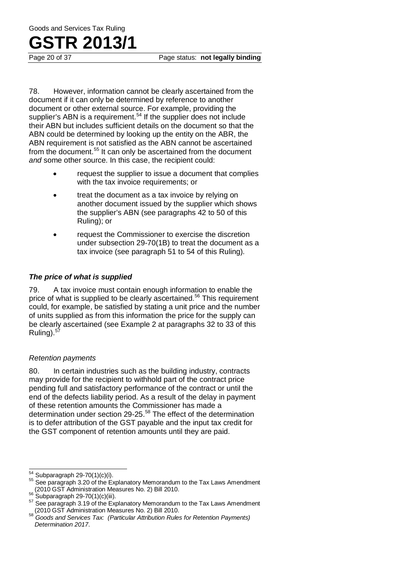78. However, information cannot be clearly ascertained from the document if it can only be determined by reference to another document or other external source. For example, providing the supplier's ABN is a requirement.<sup>54</sup> If the supplier does not include their ABN but includes sufficient details on the document so that the ABN could be determined by looking up the entity on the ABR, the ABN requirement is not satisfied as the ABN cannot be ascertained from the document.<sup>55</sup> It can only be ascertained from the document *and* some other source. In this case, the recipient could:

- request the supplier to issue a document that complies with the tax invoice requirements; or
- treat the document as a tax invoice by relying on another document issued by the supplier which shows the supplier's ABN (see paragraphs 42 to 50 of this Ruling); or
- request the Commissioner to exercise the discretion under subsection 29-70(1B) to treat the document as a tax invoice (see paragraph 51 to 54 of this Ruling).

#### *The price of what is supplied*

79. A tax invoice must contain enough information to enable the price of what is supplied to be clearly ascertained.<sup>56</sup> This requirement could, for example, be satisfied by stating a unit price and the number of units supplied as from this information the price for the supply can be clearly ascertained (see Example 2 at paragraphs 32 to 33 of this Ruling). $5$ 

#### *Retention payments*

80. In certain industries such as the building industry, contracts may provide for the recipient to withhold part of the contract price pending full and satisfactory performance of the contract or until the end of the defects liability period. As a result of the delay in payment of these retention amounts the Commissioner has made a determination under section 29-25.<sup>58</sup> The effect of the determination is to defer attribution of the GST payable and the input tax credit for the GST component of retention amounts until they are paid.

 $\overline{a}$ 

 $54$  Subparagraph 29-70(1)(c)(i).<br> $55$  See paragraph 3.20 of the Explanatory Memorandum to the Tax Laws Amendment

<sup>(2010</sup> GST Administration Measures No. 2) Bill 2010.<br>
<sup>56</sup> Subparagraph 29-70(1)(c)(iii).<br>
<sup>57</sup> See paragraph 3.19 of the Explanatory Memorandum to the Tax Laws Amendment<br>
(2010 GST Administration Measures No. 2) Bill 2010

<sup>&</sup>lt;sup>58</sup> Goods and Services Tax: (Particular Attribution Rules for Retention Payments) *Determination 2017*.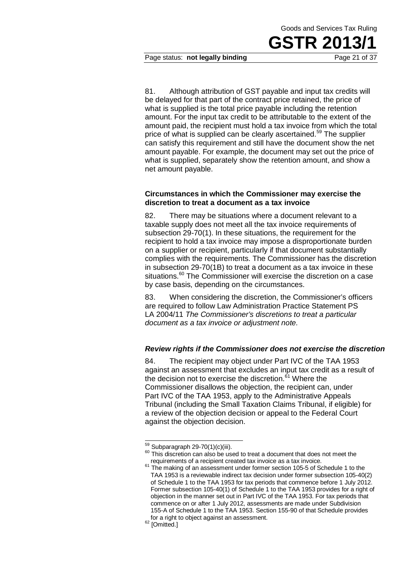

Page status: **not legally binding** Page 21 of 37

81. Although attribution of GST payable and input tax credits will be delayed for that part of the contract price retained, the price of what is supplied is the total price payable including the retention amount. For the input tax credit to be attributable to the extent of the amount paid, the recipient must hold a tax invoice from which the total price of what is supplied can be clearly ascertained.<sup>59</sup> The supplier can satisfy this requirement and still have the document show the net amount payable. For example, the document may set out the price of what is supplied, separately show the retention amount, and show a net amount payable.

#### **Circumstances in which the Commissioner may exercise the discretion to treat a document as a tax invoice**

82. There may be situations where a document relevant to a taxable supply does not meet all the tax invoice requirements of subsection 29-70(1). In these situations, the requirement for the recipient to hold a tax invoice may impose a disproportionate burden on a supplier or recipient, particularly if that document substantially complies with the requirements. The Commissioner has the discretion in subsection 29-70(1B) to treat a document as a tax invoice in these situations.<sup>60</sup> The Commissioner will exercise the discretion on a case by case basis, depending on the circumstances.

83. When considering the discretion, the Commissioner's officers are required to follow Law Administration Practice Statement PS LA 2004/11 *The Commissioner's discretions to treat a particular document as a tax invoice or adjustment note.*

#### *Review rights if the Commissioner does not exercise the discretion*

84. The recipient may object under Part IVC of the TAA 1953 against an assessment that excludes an input tax credit as a result of the decision not to exercise the discretion.<sup>61</sup> Where the Commissioner disallows the objection, the recipient can, under Part IVC of the TAA 1953, apply to the Administrative Appeals Tribunal (including the Small Taxation Claims Tribunal, if eligible) for a review of the objection decision or appeal to the Federal Court against the objection decision.

 $59$  Subparagraph 29-70(1)(c)(iii).

 $60$  This discretion can also be used to treat a document that does not meet the requirements of a recipient created tax invoice as a tax invoice.

<sup>&</sup>lt;sup>61</sup> The making of an assessment under former section 105-5 of Schedule 1 to the TAA 1953 is a reviewable indirect tax decision under former subsection 105-40(2) of Schedule 1 to the TAA 1953 for tax periods that commence before 1 July 2012. Former subsection 105-40(1) of Schedule 1 to the TAA 1953 provides for a right of objection in the manner set out in Part IVC of the TAA 1953. For tax periods that commence on or after 1 July 2012, assessments are made under Subdivision 155-A of Schedule 1 to the TAA 1953. Section 155-90 of that Schedule provides for a right to object against an assessment.<br> $62$  [Omitted.]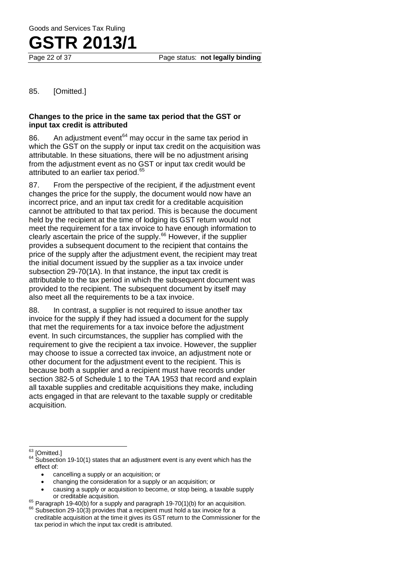85. [Omitted.]

#### **Changes to the price in the same tax period that the GST or input tax credit is attributed**

86. An adjustment event $64$  may occur in the same tax period in which the GST on the supply or input tax credit on the acquisition was attributable. In these situations, there will be no adjustment arising from the adjustment event as no GST or input tax credit would be attributed to an earlier tax period.<sup>65</sup>

87. From the perspective of the recipient, if the adjustment event changes the price for the supply, the document would now have an incorrect price, and an input tax credit for a creditable acquisition cannot be attributed to that tax period. This is because the document held by the recipient at the time of lodging its GST return would not meet the requirement for a tax invoice to have enough information to clearly ascertain the price of the supply.<sup>66</sup> However, if the supplier provides a subsequent document to the recipient that contains the price of the supply after the adjustment event, the recipient may treat the initial document issued by the supplier as a tax invoice under subsection 29-70(1A). In that instance, the input tax credit is attributable to the tax period in which the subsequent document was provided to the recipient. The subsequent document by itself may also meet all the requirements to be a tax invoice.

88. In contrast, a supplier is not required to issue another tax invoice for the supply if they had issued a document for the supply that met the requirements for a tax invoice before the adjustment event. In such circumstances, the supplier has complied with the requirement to give the recipient a tax invoice. However, the supplier may choose to issue a corrected tax invoice, an adjustment note or other document for the adjustment event to the recipient. This is because both a supplier and a recipient must have records under section 382-5 of Schedule 1 to the TAA 1953 that record and explain all taxable supplies and creditable acquisitions they make, including acts engaged in that are relevant to the taxable supply or creditable acquisition.

63

- cancelling a supply or an acquisition; or
- changing the consideration for a supply or an acquisition; or
- causing a supply or acquisition to become, or stop being, a taxable supply or creditable acquisition.
- 

 $63$  [Omitted.]<br> $64$  Subsection 19-10(1) states that an adjustment event is any event which has the effect of:

 $65$  Paragraph 19-40(b) for a supply and paragraph 19-70(1)(b) for an acquisition.<br> $66$  Subsection 29-10(3) provides that a recipient must hold a tax invoice for a creditable acquisition at the time it gives its GST return to the Commissioner for the tax period in which the input tax credit is attributed.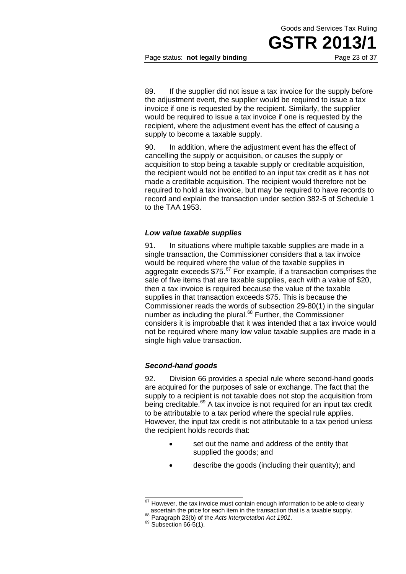

Page status: **not legally binding** Page 23 of 37

89. If the supplier did not issue a tax invoice for the supply before the adjustment event, the supplier would be required to issue a tax invoice if one is requested by the recipient. Similarly, the supplier would be required to issue a tax invoice if one is requested by the recipient, where the adjustment event has the effect of causing a supply to become a taxable supply.

90. In addition, where the adjustment event has the effect of cancelling the supply or acquisition, or causes the supply or acquisition to stop being a taxable supply or creditable acquisition, the recipient would not be entitled to an input tax credit as it has not made a creditable acquisition. The recipient would therefore not be required to hold a tax invoice, but may be required to have records to record and explain the transaction under section 382-5 of Schedule 1 to the TAA 1953.

#### *Low value taxable supplies*

91. In situations where multiple taxable supplies are made in a single transaction, the Commissioner considers that a tax invoice would be required where the value of the taxable supplies in aggregate exceeds \$75.<sup>67</sup> For example, if a transaction comprises the sale of five items that are taxable supplies, each with a value of \$20, then a tax invoice is required because the value of the taxable supplies in that transaction exceeds \$75. This is because the Commissioner reads the words of subsection 29-80(1) in the singular number as including the plural.<sup>68</sup> Further, the Commissioner considers it is improbable that it was intended that a tax invoice would not be required where many low value taxable supplies are made in a single high value transaction.

#### *Second-hand goods*

92. Division 66 provides a special rule where second-hand goods are acquired for the purposes of sale or exchange. The fact that the supply to a recipient is not taxable does not stop the acquisition from being creditable.<sup>69</sup> A tax invoice is not required for an input tax credit to be attributable to a tax period where the special rule applies. However, the input tax credit is not attributable to a tax period unless the recipient holds records that:

- set out the name and address of the entity that supplied the goods; and
- describe the goods (including their quantity); and

However, the tax invoice must contain enough information to be able to clearly ascertain the price for each item in the transaction that is a taxable supply.  $\overline{a}$ 

as decortain the price of the Acts Interpretation Act 1901.<br><sup>69</sup> Subsection 66-5(1).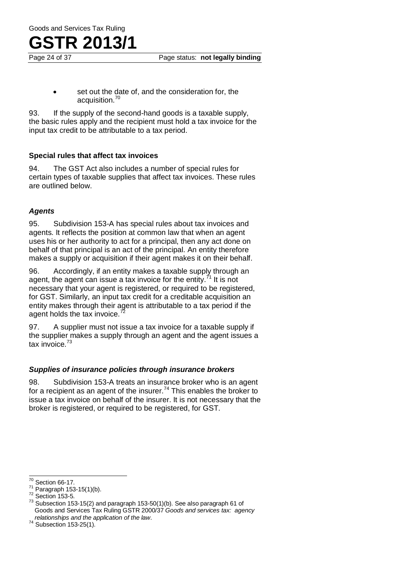# TR 2013/

set out the date of, and the consideration for, the acquisition.<sup>70</sup>

93. If the supply of the second-hand goods is a taxable supply, the basic rules apply and the recipient must hold a tax invoice for the input tax credit to be attributable to a tax period.

#### **Special rules that affect tax invoices**

94. The GST Act also includes a number of special rules for certain types of taxable supplies that affect tax invoices. These rules are outlined below.

#### *Agents*

95. Subdivision 153-A has special rules about tax invoices and agents. It reflects the position at common law that when an agent uses his or her authority to act for a principal, then any act done on behalf of that principal is an act of the principal. An entity therefore makes a supply or acquisition if their agent makes it on their behalf.

96. Accordingly, if an entity makes a taxable supply through an agent, the agent can issue a tax invoice for the entity.<sup>71</sup> It is not necessary that your agent is registered, or required to be registered, for GST. Similarly, an input tax credit for a creditable acquisition an entity makes through their agent is attributable to a tax period if the agent holds the tax invoice.

97. A supplier must not issue a tax invoice for a taxable supply if the supplier makes a supply through an agent and the agent issues a tax invoice.<sup>73</sup>

#### *Supplies of insurance policies through insurance brokers*

98. Subdivision 153-A treats an insurance broker who is an agent for a recipient as an agent of the insurer.<sup>74</sup> This enables the broker to issue a tax invoice on behalf of the insurer. It is not necessary that the broker is registered, or required to be registered, for GST.

 $70$  Section 66-17.

<sup>&</sup>lt;sup>71</sup> Paragraph 153-15(1)(b).<br><sup>72</sup> Section 153-5.<br><sup>73</sup> Subsection 153-15(2) and paragraph 153-50(1)(b). See also paragraph 61 of Goods and Services Tax Ruling GSTR 2000/37 *Goods and services tax: agency relationships and the application of the law*. 74 Subsection 153-25(1).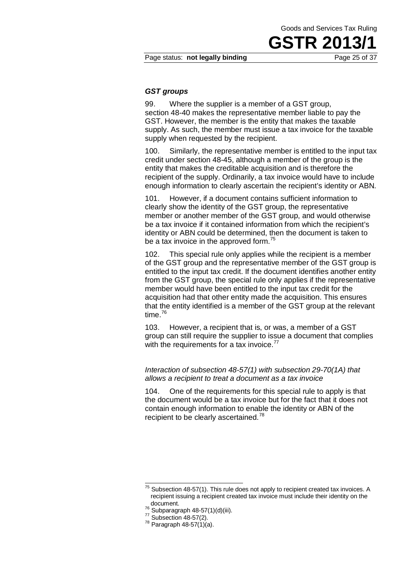**GSTR 201** 

#### Page status: **not legally binding** Page 25 of 37

#### *GST groups*

99. Where the supplier is a member of a GST group, section 48-40 makes the representative member liable to pay the GST. However, the member is the entity that makes the taxable supply. As such, the member must issue a tax invoice for the taxable supply when requested by the recipient.

100. Similarly, the representative member is entitled to the input tax credit under section 48-45, although a member of the group is the entity that makes the creditable acquisition and is therefore the recipient of the supply. Ordinarily, a tax invoice would have to include enough information to clearly ascertain the recipient's identity or ABN.

101. However, if a document contains sufficient information to clearly show the identity of the GST group, the representative member or another member of the GST group, and would otherwise be a tax invoice if it contained information from which the recipient's identity or ABN could be determined, then the document is taken to be a tax invoice in the approved form.<sup>75</sup>

102. This special rule only applies while the recipient is a member of the GST group and the representative member of the GST group is entitled to the input tax credit. If the document identifies another entity from the GST group, the special rule only applies if the representative member would have been entitled to the input tax credit for the acquisition had that other entity made the acquisition. This ensures that the entity identified is a member of the GST group at the relevant time.<sup>76</sup>

103. However, a recipient that is, or was, a member of a GST group can still require the supplier to issue a document that complies with the requirements for a tax invoice. $^{77}$ 

#### *Interaction of subsection 48-57(1) with subsection 29-70(1A) that allows a recipient to treat a document as a tax invoice*

104. One of the requirements for this special rule to apply is that the document would be a tax invoice but for the fact that it does not contain enough information to enable the identity or ABN of the recipient to be clearly ascertained.<sup>78</sup>

 $75$  Subsection 48-57(1). This rule does not apply to recipient created tax invoices. A recipient issuing a recipient created tax invoice must include their identity on the  $\overline{a}$ 

<sup>&</sup>lt;sup>76</sup> Subparagraph 48-57(1)(d)(iii).<br><sup>77</sup> Subsection 48-57(2).<br><sup>78</sup> Paragraph 48-57(1)(a).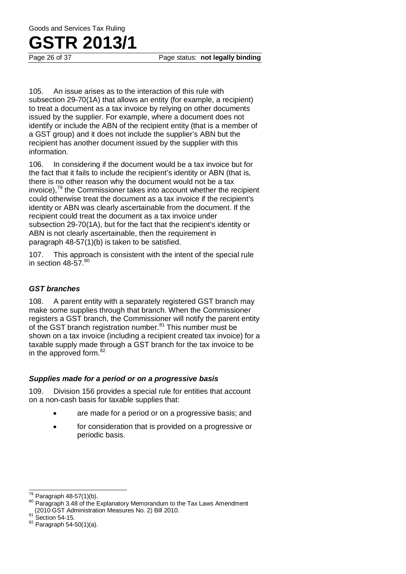Page 26 of 37 Page status: **not legally binding**

105. An issue arises as to the interaction of this rule with subsection 29-70(1A) that allows an entity (for example, a recipient) to treat a document as a tax invoice by relying on other documents issued by the supplier. For example, where a document does not identify or include the ABN of the recipient entity (that is a member of a GST group) and it does not include the supplier's ABN but the recipient has another document issued by the supplier with this information.

106. In considering if the document would be a tax invoice but for the fact that it fails to include the recipient's identity or ABN (that is, there is no other reason why the document would not be a tax invoice), $79$  the Commissioner takes into account whether the recipient could otherwise treat the document as a tax invoice if the recipient's identity or ABN was clearly ascertainable from the document. If the recipient could treat the document as a tax invoice under subsection 29-70(1A), but for the fact that the recipient's identity or ABN is not clearly ascertainable, then the requirement in paragraph 48-57(1)(b) is taken to be satisfied.

107. This approach is consistent with the intent of the special rule in section  $48-57$ .  $80$ 

#### *GST branches*

108. A parent entity with a separately registered GST branch may make some supplies through that branch. When the Commissioner registers a GST branch, the Commissioner will notify the parent entity of the GST branch registration number.<sup>81</sup> This number must be shown on a tax invoice (including a recipient created tax invoice) for a taxable supply made through a GST branch for the tax invoice to be in the approved form. $82$ 

#### *Supplies made for a period or on a progressive basis*

109. Division 156 provides a special rule for entities that account on a non-cash basis for taxable supplies that:

- are made for a period or on a progressive basis; and
- for consideration that is provided on a progressive or periodic basis.

 $79$  Paragraph 48-57(1)(b).

<sup>80</sup> Paragraph 3.48 of the Explanatory Memorandum to the Tax Laws Amendment (2010 GST Administration Measures No. 2) Bill 2010.<br>  $81$  Section 54-15.<br>  $82$  Paragraph 54-50(1)(a).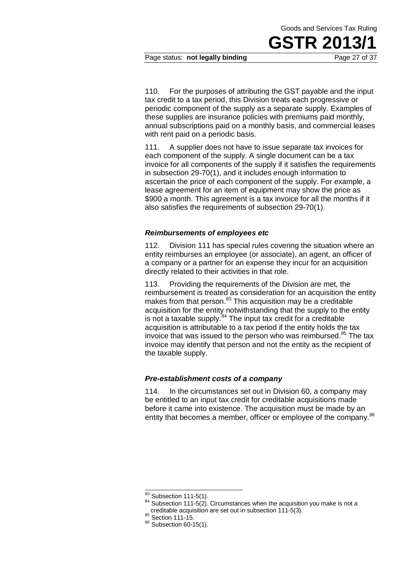

Page status: **not legally binding** Page 27 of 37

110. For the purposes of attributing the GST payable and the input tax credit to a tax period, this Division treats each progressive or periodic component of the supply as a separate supply. Examples of these supplies are insurance policies with premiums paid monthly, annual subscriptions paid on a monthly basis, and commercial leases with rent paid on a periodic basis.

111. A supplier does not have to issue separate tax invoices for each component of the supply. A single document can be a tax invoice for all components of the supply if it satisfies the requirements in subsection 29-70(1), and it includes enough information to ascertain the price of each component of the supply. For example, a lease agreement for an item of equipment may show the price as \$900 a month. This agreement is a tax invoice for all the months if it also satisfies the requirements of subsection 29-70(1).

#### *Reimbursements of employees etc*

112. Division 111 has special rules covering the situation where an entity reimburses an employee (or associate), an agent, an officer of a company or a partner for an expense they incur for an acquisition directly related to their activities in that role.

113. Providing the requirements of the Division are met, the reimbursement is treated as consideration for an acquisition the entity makes from that person. $83$  This acquisition may be a creditable acquisition for the entity notwithstanding that the supply to the entity is not a taxable supply.<sup>84</sup> The input tax credit for a creditable acquisition is attributable to a tax period if the entity holds the tax invoice that was issued to the person who was reimbursed. $85$  The tax invoice may identify that person and not the entity as the recipient of the taxable supply.

#### *Pre-establishment costs of a company*

114. In the circumstances set out in Division 60, a company may be entitled to an input tax credit for creditable acquisitions made before it came into existence. The acquisition must be made by an entity that becomes a member, officer or employee of the company.<sup>86</sup>

 $\overline{\phantom{1}^{83}}$  Subsection 111-5(1).

<sup>84</sup> Subsection 111-5(2). Circumstances when the acquisition you make is not a creditable acquisition are set out in subsection 111-5(3).<br>  $^{86}$  Section 111-15.<br>  $^{86}$  Subsection 60-15(1).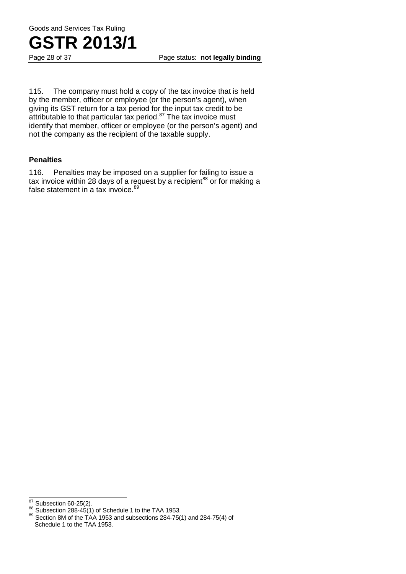

115. The company must hold a copy of the tax invoice that is held by the member, officer or employee (or the person's agent), when giving its GST return for a tax period for the input tax credit to be attributable to that particular tax period. $87$  The tax invoice must identify that member, officer or employee (or the person's agent) and not the company as the recipient of the taxable supply.

#### **Penalties**

116. Penalties may be imposed on a supplier for failing to issue a tax invoice within 28 days of a request by a recipient $^{88}$  or for making a false statement in a tax invoice.<sup>89</sup>

<sup>87</sup> 

<sup>&</sup>lt;sup>87</sup> Subsection 60-25(2).<br><sup>88</sup> Subsection 288-45(1) of Schedule 1 to the TAA 1953.<br><sup>89</sup> Section 8M of the TAA 1953 and subsections 284-75(1) and 284-75(4) of Schedule 1 to the TAA 1953.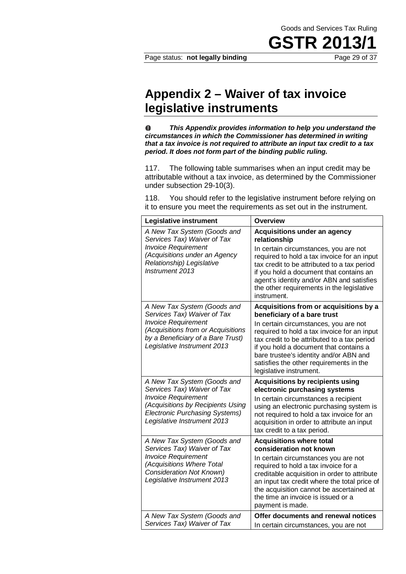## **Appendix 2 – Waiver of tax invoice legislative instruments**

 $\mathbf 0$ *This Appendix provides information to help you understand the circumstances in which the Commissioner has determined in writing that a tax invoice is not required to attribute an input tax credit to a tax period. It does not form part of the binding public ruling.*

117. The following table summarises when an input credit may be attributable without a tax invoice, as determined by the Commissioner under subsection 29-10(3).

118. You should refer to the legislative instrument before relying on it to ensure you meet the requirements as set out in the instrument.

| Legislative instrument                                                                                                                                                                                | Overview                                                                                                                                                                                                                                                                                                                                                               |
|-------------------------------------------------------------------------------------------------------------------------------------------------------------------------------------------------------|------------------------------------------------------------------------------------------------------------------------------------------------------------------------------------------------------------------------------------------------------------------------------------------------------------------------------------------------------------------------|
| A New Tax System (Goods and<br>Services Tax) Waiver of Tax<br><b>Invoice Requirement</b><br>(Acquisitions under an Agency<br>Relationship) Legislative<br>Instrument 2013                             | <b>Acquisitions under an agency</b><br>relationship<br>In certain circumstances, you are not<br>required to hold a tax invoice for an input<br>tax credit to be attributed to a tax period<br>if you hold a document that contains an<br>agent's identity and/or ABN and satisfies<br>the other requirements in the legislative<br>instrument.                         |
| A New Tax System (Goods and<br>Services Tax) Waiver of Tax<br><b>Invoice Requirement</b><br>(Acquisitions from or Acquisitions<br>by a Beneficiary of a Bare Trust)<br>Legislative Instrument 2013    | Acquisitions from or acquisitions by a<br>beneficiary of a bare trust<br>In certain circumstances, you are not<br>required to hold a tax invoice for an input<br>tax credit to be attributed to a tax period<br>if you hold a document that contains a<br>bare trustee's identity and/or ABN and<br>satisfies the other requirements in the<br>legislative instrument. |
| A New Tax System (Goods and<br>Services Tax) Waiver of Tax<br><b>Invoice Requirement</b><br>(Acquisitions by Recipients Using<br><b>Electronic Purchasing Systems)</b><br>Legislative Instrument 2013 | <b>Acquisitions by recipients using</b><br>electronic purchasing systems<br>In certain circumstances a recipient<br>using an electronic purchasing system is<br>not required to hold a tax invoice for an<br>acquisition in order to attribute an input<br>tax credit to a tax period.                                                                                 |
| A New Tax System (Goods and<br>Services Tax) Waiver of Tax<br><b>Invoice Requirement</b><br>(Acquisitions Where Total<br><b>Consideration Not Known)</b><br>Legislative Instrument 2013               | <b>Acquisitions where total</b><br>consideration not known<br>In certain circumstances you are not<br>required to hold a tax invoice for a<br>creditable acquisition in order to attribute<br>an input tax credit where the total price of<br>the acquisition cannot be ascertained at<br>the time an invoice is issued or a<br>payment is made.                       |
| A New Tax System (Goods and<br>Services Tax) Waiver of Tax                                                                                                                                            | Offer documents and renewal notices<br>In certain circumstances, you are not                                                                                                                                                                                                                                                                                           |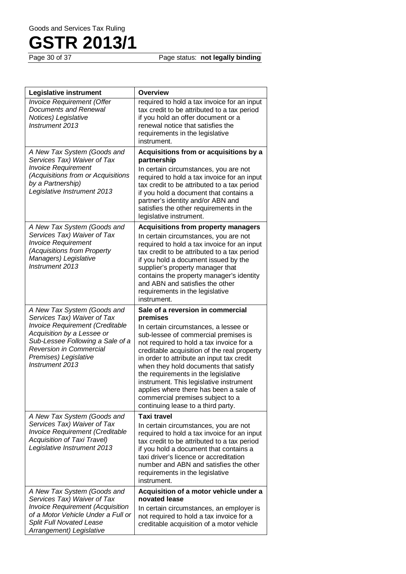Page status: **not legally binding** 

| Legislative instrument                                                                                                                                                                                                                               | <b>Overview</b>                                                                                                                                                                                                                                                                                                                                                                                                                                                                                                       |
|------------------------------------------------------------------------------------------------------------------------------------------------------------------------------------------------------------------------------------------------------|-----------------------------------------------------------------------------------------------------------------------------------------------------------------------------------------------------------------------------------------------------------------------------------------------------------------------------------------------------------------------------------------------------------------------------------------------------------------------------------------------------------------------|
| <b>Invoice Requirement (Offer</b><br><b>Documents and Renewal</b><br>Notices) Legislative<br>Instrument 2013                                                                                                                                         | required to hold a tax invoice for an input<br>tax credit to be attributed to a tax period<br>if you hold an offer document or a<br>renewal notice that satisfies the<br>requirements in the legislative<br>instrument.                                                                                                                                                                                                                                                                                               |
| A New Tax System (Goods and<br>Services Tax) Waiver of Tax<br><b>Invoice Requirement</b><br>(Acquisitions from or Acquisitions<br>by a Partnership)<br>Legislative Instrument 2013                                                                   | Acquisitions from or acquisitions by a<br>partnership<br>In certain circumstances, you are not<br>required to hold a tax invoice for an input<br>tax credit to be attributed to a tax period<br>if you hold a document that contains a<br>partner's identity and/or ABN and<br>satisfies the other requirements in the<br>legislative instrument.                                                                                                                                                                     |
| A New Tax System (Goods and<br>Services Tax) Waiver of Tax<br><b>Invoice Requirement</b><br>(Acquisitions from Property<br>Managers) Legislative<br>Instrument 2013                                                                                  | <b>Acquisitions from property managers</b><br>In certain circumstances, you are not<br>required to hold a tax invoice for an input<br>tax credit to be attributed to a tax period<br>if you hold a document issued by the<br>supplier's property manager that<br>contains the property manager's identity<br>and ABN and satisfies the other<br>requirements in the legislative<br>instrument.                                                                                                                        |
| A New Tax System (Goods and<br>Services Tax) Waiver of Tax<br><b>Invoice Requirement (Creditable</b><br>Acquisition by a Lessee or<br>Sub-Lessee Following a Sale of a<br><b>Reversion in Commercial</b><br>Premises) Legislative<br>Instrument 2013 | Sale of a reversion in commercial<br>premises<br>In certain circumstances, a lessee or<br>sub-lessee of commercial premises is<br>not required to hold a tax invoice for a<br>creditable acquisition of the real property<br>in order to attribute an input tax credit<br>when they hold documents that satisfy<br>the requirements in the legislative<br>instrument. This legislative instrument<br>applies where there has been a sale of<br>commercial premises subject to a<br>continuing lease to a third party. |
| A New Tax System (Goods and<br>Services Tax) Waiver of Tax<br><b>Invoice Requirement (Creditable</b><br>Acquisition of Taxi Travel)<br>Legislative Instrument 2013                                                                                   | <b>Taxi travel</b><br>In certain circumstances, you are not<br>required to hold a tax invoice for an input<br>tax credit to be attributed to a tax period<br>if you hold a document that contains a<br>taxi driver's licence or accreditation<br>number and ABN and satisfies the other<br>requirements in the legislative<br>instrument.                                                                                                                                                                             |
| A New Tax System (Goods and<br>Services Tax) Waiver of Tax<br><b>Invoice Requirement (Acquisition</b><br>of a Motor Vehicle Under a Full or<br><b>Split Full Novated Lease</b><br>Arrangement) Legislative                                           | Acquisition of a motor vehicle under a<br>novated lease<br>In certain circumstances, an employer is<br>not required to hold a tax invoice for a<br>creditable acquisition of a motor vehicle                                                                                                                                                                                                                                                                                                                          |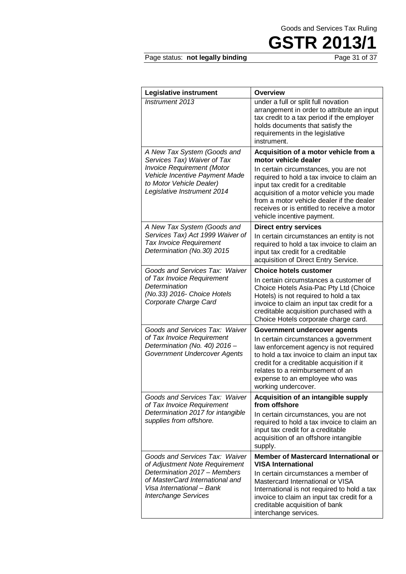

#### Page status: not legally binding

| Legislative instrument                                                                                                         | <b>Overview</b>                                                                                                                                                                                                                                                                              |
|--------------------------------------------------------------------------------------------------------------------------------|----------------------------------------------------------------------------------------------------------------------------------------------------------------------------------------------------------------------------------------------------------------------------------------------|
| <b>Instrument 2013</b>                                                                                                         | under a full or split full novation<br>arrangement in order to attribute an input<br>tax credit to a tax period if the employer<br>holds documents that satisfy the<br>requirements in the legislative<br>instrument.                                                                        |
| A New Tax System (Goods and<br>Services Tax) Waiver of Tax                                                                     | Acquisition of a motor vehicle from a<br>motor vehicle dealer                                                                                                                                                                                                                                |
| <b>Invoice Requirement (Motor</b><br>Vehicle Incentive Payment Made<br>to Motor Vehicle Dealer)<br>Legislative Instrument 2014 | In certain circumstances, you are not<br>required to hold a tax invoice to claim an<br>input tax credit for a creditable<br>acquisition of a motor vehicle you made<br>from a motor vehicle dealer if the dealer<br>receives or is entitled to receive a motor<br>vehicle incentive payment. |
| A New Tax System (Goods and                                                                                                    | <b>Direct entry services</b>                                                                                                                                                                                                                                                                 |
| Services Tax) Act 1999 Waiver of<br><b>Tax Invoice Requirement</b><br>Determination (No.30) 2015                               | In certain circumstances an entity is not<br>required to hold a tax invoice to claim an<br>input tax credit for a creditable<br>acquisition of Direct Entry Service.                                                                                                                         |
| Goods and Services Tax: Waiver                                                                                                 | <b>Choice hotels customer</b>                                                                                                                                                                                                                                                                |
| of Tax Invoice Requirement<br>Determination<br>(No.33) 2016- Choice Hotels<br>Corporate Charge Card                            | In certain circumstances a customer of<br>Choice Hotels Asia-Pac Pty Ltd (Choice<br>Hotels) is not required to hold a tax<br>invoice to claim an input tax credit for a<br>creditable acquisition purchased with a<br>Choice Hotels corporate charge card.                                   |
| Goods and Services Tax: Waiver                                                                                                 | Government undercover agents                                                                                                                                                                                                                                                                 |
| of Tax Invoice Requirement<br>Determination (No. 40) 2016 -<br>Government Undercover Agents                                    | In certain circumstances a government<br>law enforcement agency is not required<br>to hold a tax invoice to claim an input tax<br>credit for a creditable acquisition if it<br>relates to a reimbursement of an<br>expense to an employee who was<br>working undercover.                     |
| Goods and Services Tax: Waiver<br>of Tax Invoice Requirement                                                                   | Acquisition of an intangible supply<br>from offshore                                                                                                                                                                                                                                         |
| Determination 2017 for intangible<br>supplies from offshore.                                                                   | In certain circumstances, you are not<br>required to hold a tax invoice to claim an<br>input tax credit for a creditable<br>acquisition of an offshore intangible<br>supply.                                                                                                                 |
| Goods and Services Tax: Waiver<br>of Adjustment Note Requirement                                                               | Member of Mastercard International or<br><b>VISA International</b>                                                                                                                                                                                                                           |
| Determination 2017 - Members<br>of MasterCard International and<br>Visa International - Bank<br><b>Interchange Services</b>    | In certain circumstances a member of<br>Mastercard International or VISA<br>International is not required to hold a tax<br>invoice to claim an input tax credit for a<br>creditable acquisition of bank<br>interchange services.                                                             |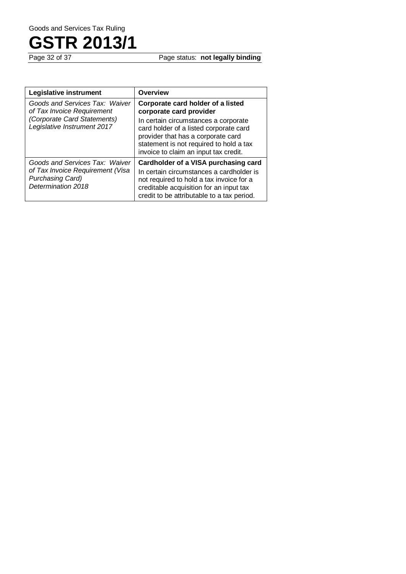

Page status: **not legally binding** 

| Legislative instrument                                                     | <b>Overview</b>                                                                                                                                                                                          |
|----------------------------------------------------------------------------|----------------------------------------------------------------------------------------------------------------------------------------------------------------------------------------------------------|
| Goods and Services Tax: Waiver<br>of Tax Invoice Requirement               | Corporate card holder of a listed<br>corporate card provider                                                                                                                                             |
| (Corporate Card Statements)<br>Legislative Instrument 2017                 | In certain circumstances a corporate<br>card holder of a listed corporate card<br>provider that has a corporate card<br>statement is not required to hold a tax<br>invoice to claim an input tax credit. |
| Goods and Services Tax: Waiver                                             | <b>Cardholder of a VISA purchasing card</b>                                                                                                                                                              |
| of Tax Invoice Requirement (Visa<br>Purchasing Card)<br>Determination 2018 | In certain circumstances a cardholder is<br>not required to hold a tax invoice for a<br>creditable acquisition for an input tax<br>credit to be attributable to a tax period.                            |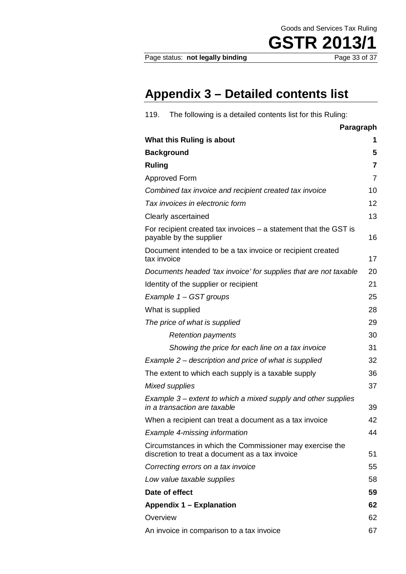Page status: not legally binding

**GSTR 2013/1**<br>Page 33 of 37

## **Appendix 3 – Detailed contents list**

| 119.          | The following is a detailed contents list for this Ruling:                                                  |                |
|---------------|-------------------------------------------------------------------------------------------------------------|----------------|
|               | Paragraph                                                                                                   |                |
|               | What this Ruling is about                                                                                   | 1              |
|               | <b>Background</b>                                                                                           | 5              |
| <b>Ruling</b> |                                                                                                             | 7              |
|               | <b>Approved Form</b>                                                                                        | $\overline{7}$ |
|               | Combined tax invoice and recipient created tax invoice                                                      | 10             |
|               | Tax invoices in electronic form                                                                             | 12             |
|               | Clearly ascertained                                                                                         | 13             |
|               | For recipient created tax invoices $-$ a statement that the GST is<br>payable by the supplier               | 16             |
| tax invoice   | Document intended to be a tax invoice or recipient created                                                  | 17             |
|               | Documents headed 'tax invoice' for supplies that are not taxable                                            | 20             |
|               | Identity of the supplier or recipient                                                                       | 21             |
|               | Example 1 - GST groups                                                                                      | 25             |
|               | What is supplied                                                                                            | 28             |
|               | The price of what is supplied                                                                               | 29             |
|               | <b>Retention payments</b>                                                                                   | 30             |
|               | Showing the price for each line on a tax invoice                                                            | 31             |
|               | Example 2 – description and price of what is supplied                                                       | 32             |
|               | The extent to which each supply is a taxable supply                                                         | 36             |
|               | Mixed supplies                                                                                              | 37             |
|               | Example 3 – extent to which a mixed supply and other supplies<br>in a transaction are taxable               | 39             |
|               | When a recipient can treat a document as a tax invoice                                                      | 42             |
|               | <b>Example 4-missing information</b>                                                                        | 44             |
|               | Circumstances in which the Commissioner may exercise the<br>discretion to treat a document as a tax invoice | 51             |
|               | Correcting errors on a tax invoice                                                                          | 55             |
|               | Low value taxable supplies                                                                                  | 58             |
|               | Date of effect                                                                                              | 59             |
|               | <b>Appendix 1 - Explanation</b>                                                                             | 62             |
| Overview      |                                                                                                             | 62             |
|               | An invoice in comparison to a tax invoice                                                                   | 67             |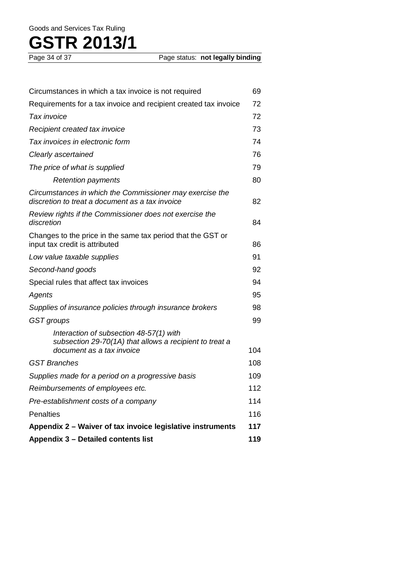| Circumstances in which a tax invoice is not required                                                                            | 69         |
|---------------------------------------------------------------------------------------------------------------------------------|------------|
| Requirements for a tax invoice and recipient created tax invoice                                                                | 72         |
| Tax invoice                                                                                                                     | 72         |
| Recipient created tax invoice                                                                                                   | 73         |
| Tax invoices in electronic form                                                                                                 | 74         |
| Clearly ascertained                                                                                                             | 76         |
| The price of what is supplied                                                                                                   | 79         |
| <b>Retention payments</b>                                                                                                       | 80         |
| Circumstances in which the Commissioner may exercise the<br>discretion to treat a document as a tax invoice                     | 82         |
| Review rights if the Commissioner does not exercise the<br>discretion                                                           | 84         |
| Changes to the price in the same tax period that the GST or<br>input tax credit is attributed                                   | 86         |
| Low value taxable supplies                                                                                                      | 91         |
| Second-hand goods                                                                                                               | 92         |
| Special rules that affect tax invoices                                                                                          | 94         |
| Agents                                                                                                                          | 95         |
| Supplies of insurance policies through insurance brokers                                                                        | 98         |
| GST groups                                                                                                                      | 99         |
| Interaction of subsection 48-57(1) with<br>subsection 29-70(1A) that allows a recipient to treat a<br>document as a tax invoice |            |
| GST Branches                                                                                                                    | 104<br>108 |
|                                                                                                                                 | 109        |
| Supplies made for a period on a progressive basis                                                                               |            |
| Reimbursements of employees etc.                                                                                                | 112        |
| Pre-establishment costs of a company                                                                                            | 114        |
| <b>Penalties</b>                                                                                                                | 116        |
| Appendix 2 - Waiver of tax invoice legislative instruments                                                                      | 117        |
| Appendix 3 - Detailed contents list                                                                                             | 119        |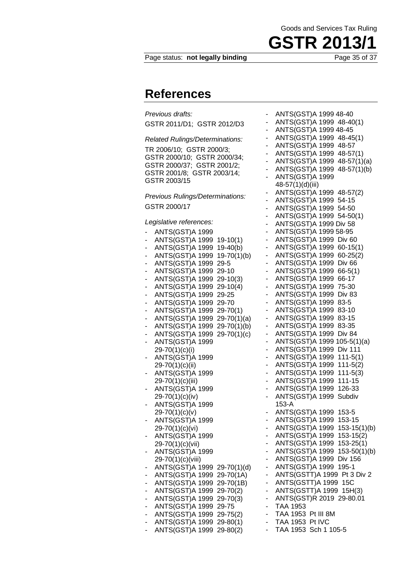

Page status: **not legally binding** Page 35 of 37

### **References**

*Previous drafts:* GSTR 2011/D1; GSTR 2012/D3 *Related Rulings/Determinations:*

TR 2006/10; GSTR 2000/3; GSTR 2000/10; GSTR 2000/34; GSTR 2000/37; GSTR 2001/2; GSTR 2001/8; GSTR 2003/14; GSTR 2003/15

*Previous Rulings/Determinations:* GSTR 2000/17

*Legislative references:*

|        | ANTS(GST)A 1999                                         |
|--------|---------------------------------------------------------|
|        | ANTS(GST)A 1999<br>$19-10(1)$                           |
|        | ANTS(GST)A 1999<br>$19-40(b)$                           |
| ۳      | ANTS(GST)A 1999<br>$19-70(1)(b)$                        |
| -      | ANTS(GST)A 1999<br>29-5                                 |
|        | ANTS(GST)A 1999<br>29-10                                |
| -      | ANTS(GST)A 1999<br>29-10(3)                             |
| ۳      | ANTS(GST)A 1999<br>29-10(4)                             |
| -      | ANTS(GST)A 1999<br>29-25                                |
|        | ANTS(GST)A 1999<br>29-70                                |
| -      | ANTS(GST)A 1999<br>29-70(1)                             |
|        | ANTS(GST)A 1999<br>$29-70(1)(a)$                        |
| -      | ANTS(GST)A 1999<br>$29-70(1)(b)$                        |
| ۰      | ANTS(GST)A 1999<br>$29-70(1)(c)$                        |
|        | ANTS(GST)A 1999                                         |
|        | 29-70(1)(c)(i)                                          |
| ۳      | ANTS(GST)A 1999                                         |
|        | 29-70(1)(c)(ii)                                         |
|        | ANTS(GST)A 1999                                         |
|        | 29-70(1)(c)(iii)                                        |
|        | ANTS(GST)A 1999                                         |
|        | 29-70(1)(c)(iv)                                         |
|        | ANTS(GST)A 1999                                         |
|        | $29-70(1)(c)(v)$                                        |
|        | ANTS(GST)A 1999                                         |
|        | 29-70(1)(c)(vi)                                         |
|        | ANTS(GST)A 1999                                         |
|        | 29-70(1)(c)(vii)                                        |
| -      | ANTS(GST)A 1999                                         |
|        | 29-70(1)(c)(viii)                                       |
|        | ANTS(GST)A 1999<br>29-70(1)(d)                          |
|        | ANTS(GST)A 1999<br>29-70(1A)                            |
| -      | ANTS(GST)A 1999<br>29-70(1B)                            |
|        | ANTS(GST)A 1999<br>29-70(2)                             |
| -      | ANTS(GST)A 1999<br>29-70(3)<br>ANTS(GST)A 1999<br>29-75 |
| ۰      | ANTS(GST)A 1999                                         |
| -<br>۰ | 29-75(2)<br>ANTS(GST)A 1999<br>$29 - 80(1)$             |
|        | ANTS(GST)A 1999<br>29-80(2)                             |
|        |                                                         |

- ANTS(GST)A 1999 48-40 - ANTS(GST)A 1999 48-40(1) - ANTS(GST)A 1999 48-45 - ANTS(GST)A 1999 48-45(1) - ANTS(GST)A 1999 48-57 - ANTS(GST)A 1999 48-57(1) - ANTS(GST)A 1999 48-57(1)(a) - ANTS(GST)A 1999 48-57(1)(b) - ANTS(GST)A 1999 48-57(1)(d)(iii) - ANTS(GST)A 1999 48-57(2) - ANTS(GST)A 1999 54-15 - ANTS(GST)A 1999 54-50 - ANTS(GST)A 1999 54-50(1) - ANTS(GST)A 1999 Div 58 - ANTS(GST)A 1999 58-95 - ANTS(GST)A 1999 Div 60 - ANTS(GST)A 1999 60-15(1) - ANTS(GST)A 1999 60-25(2) - ANTS(GST)A 1999 Div 66 - ANTS(GST)A 1999 66-5(1) - ANTS(GST)A 1999 66-17 - ANTS(GST)A 1999 75-30 - ANTS(GST)A 1999 Div 83 - ANTS(GST)A 1999 83-5 - ANTS(GST)A 1999 83-10 - ANTS(GST)A 1999 83-15 - ANTS(GST)A 1999 83-35 - ANTS(GST)A 1999 Div 84 - ANTS(GST)A 1999 105-5(1)(a) - ANTS(GST)A 1999 Div 111<br>- ANTS(GST)A 1999 111-5(1 - ANTS(GST)A 1999 111-5(1) - ANTS(GST)A 1999 111-5(2) - ANTS(GST)A 1999 111-5(3) - ANTS(GST)A 1999 111-15 - ANTS(GST)A 1999 126-33 ANTS(GST)A 1999 Subdiv 153-A - ANTS(GST)A 1999 153-5 - ANTS(GST)A 1999 153-15 - ANTS(GST)A 1999 153-15(1)(b) - ANTS(GST)A 1999 153-15(2) - ANTS(GST)A 1999 153-25(1) - ANTS(GST)A 1999 153-50(1)(b) - ANTS(GST)A 1999 Div 156 - ANTS(GST)A 1999 195-1 - ANTS(GSTT)A 1999 Pt 3 Div 2 - ANTS(GSTT)A 1999 15C - ANTS(GSTT)A 1999 15H(3) - ANTS(GST)R 2019 29-80.01 - TAA 1953 - TAA 1953 Pt III 8M - TAA 1953 Pt IVC - TAA 1953 Sch 1 105-5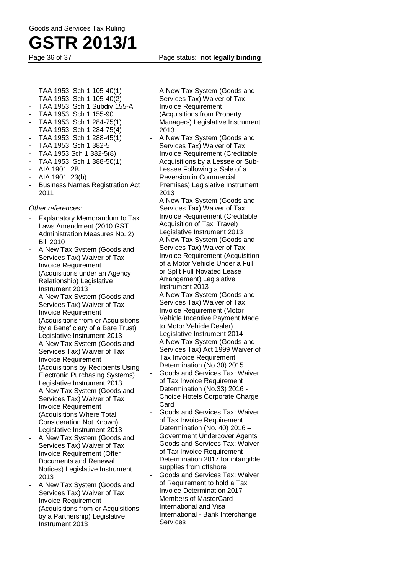## **GSTR 2013/1**

#### Page 36 of 37 Page status: **not legally binding**

- TAA 1953 Sch 1 105-40(1)
- TAA 1953 Sch 1 105-40(2)
- TAA 1953 Sch 1 Subdiv 155-A
- TAA 1953 Sch 1 155-90
- TAA 1953 Sch 1 284-75(1)
- TAA 1953 Sch 1 284-75(4)
- TAA 1953 Sch 1 288-45(1)
- TAA 1953 Sch 1 382-5
- TAA 1953 Sch 1 382-5(8)
- TAA 1953 Sch 1 388-50(1)
- AIA 1901 2B
- AIA 1901 23(b)
- Business Names Registration Act 2011

*Other references:*

- Explanatory Memorandum to Tax Laws Amendment (2010 GST Administration Measures No. 2) Bill 2010
- A New Tax System (Goods and Services Tax) Waiver of Tax Invoice Requirement (Acquisitions under an Agency Relationship) Legislative Instrument 2013
- A New Tax System (Goods and Services Tax) Waiver of Tax Invoice Requirement (Acquisitions from or Acquisitions by a Beneficiary of a Bare Trust) Legislative Instrument 2013
- A New Tax System (Goods and Services Tax) Waiver of Tax Invoice Requirement (Acquisitions by Recipients Using Electronic Purchasing Systems) Legislative Instrument 2013
- A New Tax System (Goods and Services Tax) Waiver of Tax Invoice Requirement (Acquisitions Where Total Consideration Not Known) Legislative Instrument 2013
- A New Tax System (Goods and Services Tax) Waiver of Tax Invoice Requirement (Offer Documents and Renewal Notices) Legislative Instrument 2013
- A New Tax System (Goods and Services Tax) Waiver of Tax Invoice Requirement (Acquisitions from or Acquisitions by a Partnership) Legislative Instrument 2013
- A New Tax System (Goods and Services Tax) Waiver of Tax Invoice Requirement (Acquisitions from Property Managers) Legislative Instrument 2013
- A New Tax System (Goods and Services Tax) Waiver of Tax Invoice Requirement (Creditable Acquisitions by a Lessee or Sub-Lessee Following a Sale of a Reversion in Commercial Premises) Legislative Instrument 2013
- A New Tax System (Goods and Services Tax) Waiver of Tax Invoice Requirement (Creditable Acquisition of Taxi Travel) Legislative Instrument 2013
- A New Tax System (Goods and Services Tax) Waiver of Tax Invoice Requirement (Acquisition of a Motor Vehicle Under a Full or Split Full Novated Lease Arrangement) Legislative Instrument 2013
- A New Tax System (Goods and Services Tax) Waiver of Tax Invoice Requirement (Motor Vehicle Incentive Payment Made to Motor Vehicle Dealer) Legislative Instrument 2014
- A New Tax System (Goods and Services Tax) Act 1999 Waiver of Tax Invoice Requirement Determination (No.30) 2015
- Goods and Services Tax: Waiver of Tax Invoice Requirement Determination (No.33) 2016 - Choice Hotels Corporate Charge Card
- Goods and Services Tax: Waiver of Tax Invoice Requirement Determination (No. 40) 2016 – Government Undercover Agents
- Goods and Services Tax: Waiver of Tax Invoice Requirement Determination 2017 for intangible supplies from offshore
- Goods and Services Tax: Waiver of Requirement to hold a Tax Invoice Determination 2017 - Members of MasterCard International and Visa International - Bank Interchange Services